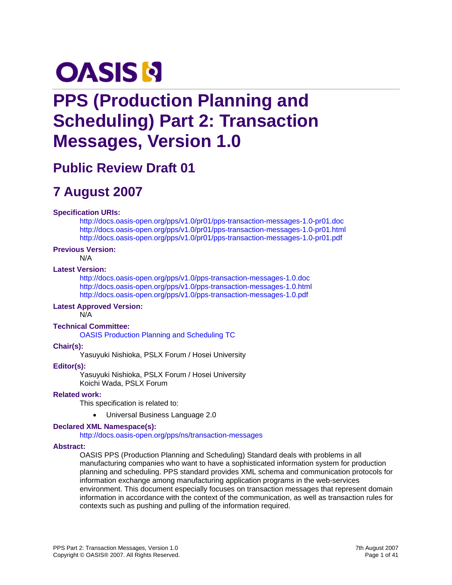# **OASIS N**

## **PPS (Production Planning and Scheduling) Part 2: Transaction Messages, Version 1.0**

## **Public Review Draft 01**

## **7 August 2007**

#### **Specification URIs:**

<http://docs.oasis-open.org/pps/v1.0/pr01/pps-transaction-messages-1.0-pr01.doc> <http://docs.oasis-open.org/pps/v1.0/pr01/pps-transaction-messages-1.0-pr01.html> <http://docs.oasis-open.org/pps/v1.0/pr01/pps-transaction-messages-1.0-pr01.pdf>

#### **Previous Version:**

N/A

#### **Latest Version:**

<http://docs.oasis-open.org/pps/v1.0/pps-transaction-messages-1.0.doc> <http://docs.oasis-open.org/pps/v1.0/pps-transaction-messages-1.0.html> <http://docs.oasis-open.org/pps/v1.0/pps-transaction-messages-1.0.pdf>

#### **Latest Approved Version:**

N/A

#### **Technical Committee:**

[OASIS Production Planning and Scheduling TC](http://www.oasis-open.org/committees/pps)

#### **Chair(s):**

Yasuyuki Nishioka, PSLX Forum / Hosei University

#### **Editor(s):**

Yasuyuki Nishioka, PSLX Forum / Hosei University Koichi Wada, PSLX Forum

#### **Related work:**

This specification is related to:

• Universal Business Language 2.0

#### **Declared XML Namespace(s):**

#### <http://docs.oasis-open.org/pps/ns/transaction-messages>

#### **Abstract:**

OASIS PPS (Production Planning and Scheduling) Standard deals with problems in all manufacturing companies who want to have a sophisticated information system for production planning and scheduling. PPS standard provides XML schema and communication protocols for information exchange among manufacturing application programs in the web-services environment. This document especially focuses on transaction messages that represent domain information in accordance with the context of the communication, as well as transaction rules for contexts such as pushing and pulling of the information required.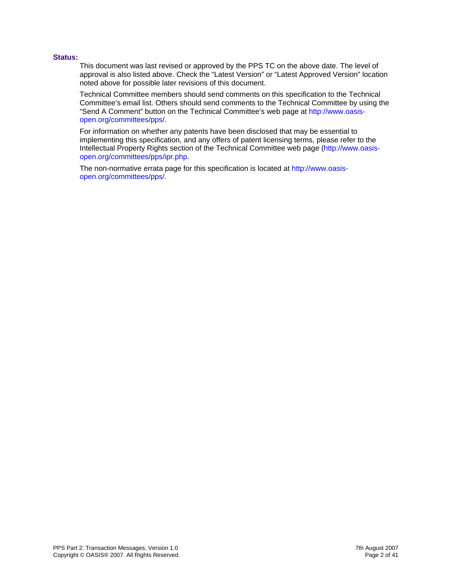#### **Status:**

This document was last revised or approved by the PPS TC on the above date. The level of approval is also listed above. Check the "Latest Version" or "Latest Approved Version" location noted above for possible later revisions of this document.

Technical Committee members should send comments on this specification to the Technical Committee's email list. Others should send comments to the Technical Committee by using the "Send A Comment" button on the Technical Committee's web page at [http://www.oasis](http://www.oasis-open.org/committees/%5bTC%20short%20name%5d%20/)[open.org/committees/pps/](http://www.oasis-open.org/committees/%5bTC%20short%20name%5d%20/).

For information on whether any patents have been disclosed that may be essential to implementing this specification, and any offers of patent licensing terms, please refer to the Intellectual Property Rights section of the Technical Committee web page ([http://www.oasis](http://www.oasis-open.org/committees/%5bTC%20short%20name%5d%20/ipr.php)[open.org/committees/pps/ipr.php.](http://www.oasis-open.org/committees/%5bTC%20short%20name%5d%20/ipr.php)

The non-normative errata page for this specification is located at [http://www.oasis](http://www.oasis-open.org/committees/%5bTC%20short%20name%5d%20/)[open.org/committees/pps/](http://www.oasis-open.org/committees/%5bTC%20short%20name%5d%20/).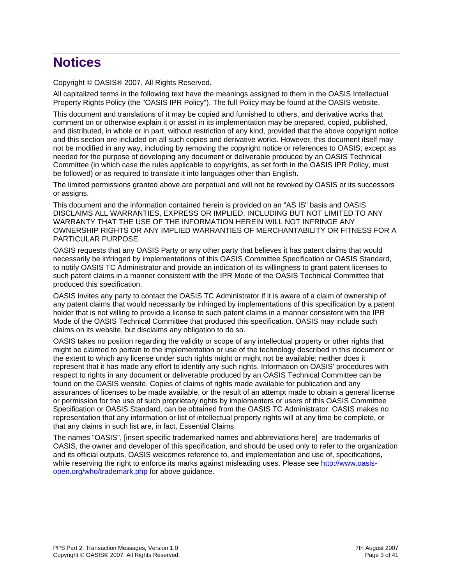## **Notices**

Copyright © OASIS® 2007. All Rights Reserved.

All capitalized terms in the following text have the meanings assigned to them in the OASIS Intellectual Property Rights Policy (the "OASIS IPR Policy"). The full Policy may be found at the OASIS website.

This document and translations of it may be copied and furnished to others, and derivative works that comment on or otherwise explain it or assist in its implementation may be prepared, copied, published, and distributed, in whole or in part, without restriction of any kind, provided that the above copyright notice and this section are included on all such copies and derivative works. However, this document itself may not be modified in any way, including by removing the copyright notice or references to OASIS, except as needed for the purpose of developing any document or deliverable produced by an OASIS Technical Committee (in which case the rules applicable to copyrights, as set forth in the OASIS IPR Policy, must be followed) or as required to translate it into languages other than English.

The limited permissions granted above are perpetual and will not be revoked by OASIS or its successors or assigns.

This document and the information contained herein is provided on an "AS IS" basis and OASIS DISCLAIMS ALL WARRANTIES, EXPRESS OR IMPLIED, INCLUDING BUT NOT LIMITED TO ANY WARRANTY THAT THE USE OF THE INFORMATION HEREIN WILL NOT INFRINGE ANY OWNERSHIP RIGHTS OR ANY IMPLIED WARRANTIES OF MERCHANTABILITY OR FITNESS FOR A PARTICULAR PURPOSE.

OASIS requests that any OASIS Party or any other party that believes it has patent claims that would necessarily be infringed by implementations of this OASIS Committee Specification or OASIS Standard, to notify OASIS TC Administrator and provide an indication of its willingness to grant patent licenses to such patent claims in a manner consistent with the IPR Mode of the OASIS Technical Committee that produced this specification.

OASIS invites any party to contact the OASIS TC Administrator if it is aware of a claim of ownership of any patent claims that would necessarily be infringed by implementations of this specification by a patent holder that is not willing to provide a license to such patent claims in a manner consistent with the IPR Mode of the OASIS Technical Committee that produced this specification. OASIS may include such claims on its website, but disclaims any obligation to do so.

OASIS takes no position regarding the validity or scope of any intellectual property or other rights that might be claimed to pertain to the implementation or use of the technology described in this document or the extent to which any license under such rights might or might not be available; neither does it represent that it has made any effort to identify any such rights. Information on OASIS' procedures with respect to rights in any document or deliverable produced by an OASIS Technical Committee can be found on the OASIS website. Copies of claims of rights made available for publication and any assurances of licenses to be made available, or the result of an attempt made to obtain a general license or permission for the use of such proprietary rights by implementers or users of this OASIS Committee Specification or OASIS Standard, can be obtained from the OASIS TC Administrator. OASIS makes no representation that any information or list of intellectual property rights will at any time be complete, or that any claims in such list are, in fact, Essential Claims.

The names "OASIS", [insert specific trademarked names and abbreviations here] are trademarks of OASIS, the owner and developer of this specification, and should be used only to refer to the organization and its official outputs. OASIS welcomes reference to, and implementation and use of, specifications, while reserving the right to enforce its marks against misleading uses. Please see [http://www.oasis](http://www.oasis-open.org/who/trademark.php)[open.org/who/trademark.php](http://www.oasis-open.org/who/trademark.php) for above guidance.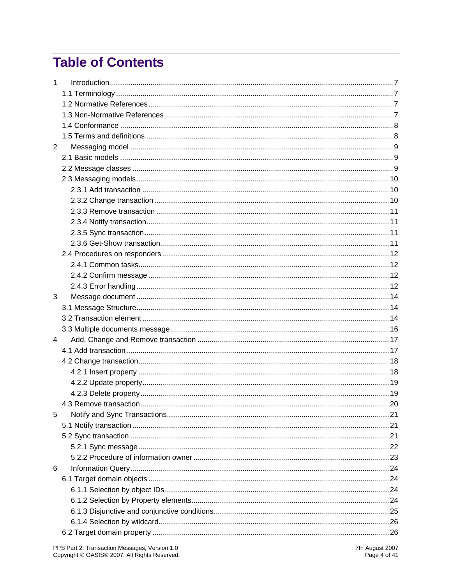## **Table of Contents**

| $\mathbf{1}$   |  |
|----------------|--|
|                |  |
|                |  |
|                |  |
|                |  |
|                |  |
| $\overline{2}$ |  |
|                |  |
|                |  |
|                |  |
|                |  |
|                |  |
|                |  |
|                |  |
|                |  |
|                |  |
|                |  |
|                |  |
|                |  |
|                |  |
| 3              |  |
|                |  |
|                |  |
|                |  |
| $\overline{4}$ |  |
|                |  |
|                |  |
|                |  |
|                |  |
|                |  |
|                |  |
| 5              |  |
|                |  |
|                |  |
|                |  |
|                |  |
| 6              |  |
|                |  |
|                |  |
|                |  |
|                |  |
|                |  |
|                |  |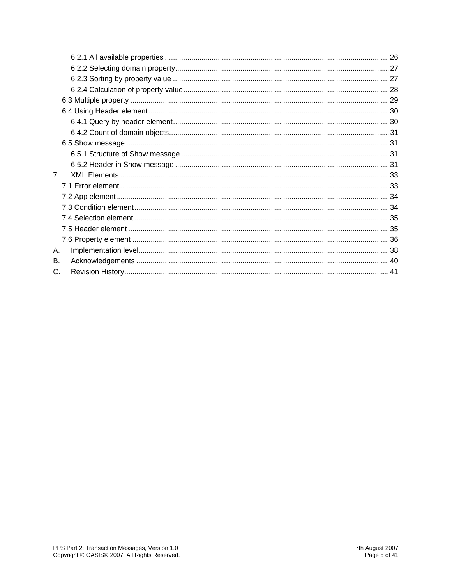| $\overline{7}$ |  |
|----------------|--|
|                |  |
|                |  |
|                |  |
|                |  |
|                |  |
|                |  |
| А.             |  |
| В.             |  |
| C.             |  |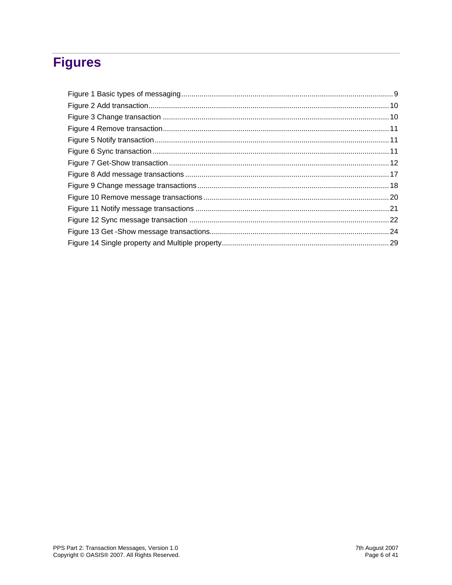## **Figures**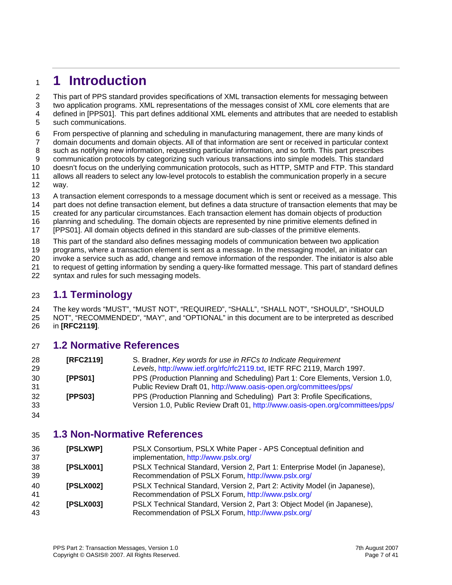## <span id="page-6-0"></span><sup>1</sup>**1 Introduction**

2 This part of PPS standard provides specifications of XML transaction elements for messaging between

- 3 4 5 two application programs. XML representations of the messages consist of XML core elements that are defined in [PPS01]. This part defines additional XML elements and attributes that are needed to establish such communications.
- 6 From perspective of planning and scheduling in manufacturing management, there are many kinds of
- 7 domain documents and domain objects. All of that information are sent or received in particular context
- 8 such as notifying new information, requesting particular information, and so forth. This part prescribes
- 9 10 communication protocols by categorizing such various transactions into simple models. This standard doesn't focus on the underlying communication protocols, such as HTTP, SMTP and FTP. This standard
- 11 12 allows all readers to select any low-level protocols to establish the communication properly in a secure way.
- 13 A transaction element corresponds to a message document which is sent or received as a message. This
- 14 part does not define transaction element, but defines a data structure of transaction elements that may be
- 15 created for any particular circumstances. Each transaction element has domain objects of production
- 16 planning and scheduling. The domain objects are represented by nine primitive elements defined in
- 17 [PPS01]. All domain objects defined in this standard are sub-classes of the primitive elements.
- 18 This part of the standard also defines messaging models of communication between two application
- 19 programs, where a transaction element is sent as a message. In the messaging model, an initiator can
- 20 invoke a service such as add, change and remove information of the responder. The initiator is also able
- 21 to request of getting information by sending a query-like formatted message. This part of standard defines
- 22 syntax and rules for such messaging models.

### 23 **1.1 Terminology**

24 25 26 The key words "MUST", "MUST NOT", "REQUIRED", "SHALL", "SHALL NOT", "SHOULD", "SHOULD NOT", "RECOMMENDED", "MAY", and "OPTIONAL" in this document are to be interpreted as described in **[\[RFC2119\]](#page-6-1)**.

#### 27 **1.2 Normative References**

<span id="page-6-1"></span>

| 28<br>29 | [RFC2119]      | S. Bradner, Key words for use in RFCs to Indicate Requirement<br>Levels, http://www.ietf.org/rfc/rfc2119.txt, IETF RFC 2119, March 1997.                   |
|----------|----------------|------------------------------------------------------------------------------------------------------------------------------------------------------------|
| 30<br>31 | <b>IPPS011</b> | PPS (Production Planning and Scheduling) Part 1: Core Elements, Version 1.0,<br>Public Review Draft 01, http://www.oasis-open.org/committees/pps/          |
| 32<br>33 | [PPS03]        | PPS (Production Planning and Scheduling) Part 3: Profile Specifications,<br>Version 1.0, Public Review Draft 01, http://www.oasis-open.org/committees/pps/ |

34

#### 35 **1.3 Non-Normative References**

| 36<br>37 | [PSLXWP]  | PSLX Consortium, PSLX White Paper - APS Conceptual definition and<br>implementation, http://www.pslx.org/                         |
|----------|-----------|-----------------------------------------------------------------------------------------------------------------------------------|
| 38<br>39 | [PSLX001] | PSLX Technical Standard, Version 2, Part 1: Enterprise Model (in Japanese),<br>Recommendation of PSLX Forum, http://www.pslx.org/ |
| 40<br>41 | [PSLX002] | PSLX Technical Standard, Version 2, Part 2: Activity Model (in Japanese),<br>Recommendation of PSLX Forum, http://www.pslx.org/   |
| 42<br>43 | [PSLX003] | PSLX Technical Standard, Version 2, Part 3: Object Model (in Japanese),<br>Recommendation of PSLX Forum, http://www.pslx.org/     |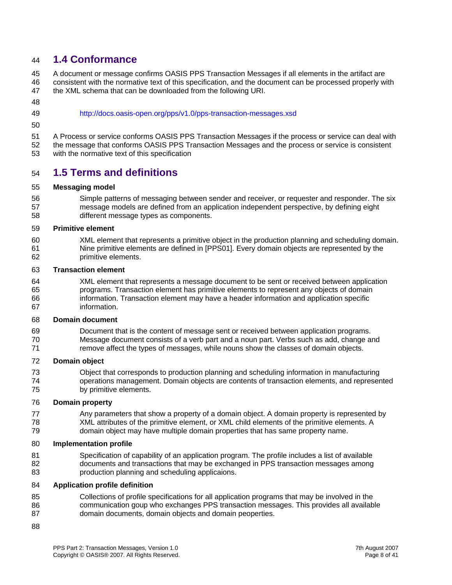#### <span id="page-7-0"></span>44 **1.4 Conformance**

45 46 A document or message confirms OASIS PPS Transaction Messages if all elements in the artifact are consistent with the normative text of this specification, and the document can be processed properly with

- 47 the XML schema that can be downloaded from the following URI.
- 48 49
- <http://docs.oasis-open.org/pps/v1.0/pps-transaction-messages.xsd>
- 50

51 52 A Process or service conforms OASIS PPS Transaction Messages if the process or service can deal with the message that conforms OASIS PPS Transaction Messages and the process or service is consistent

53 with the normative text of this specification

### 54 **1.5 Terms and definitions**

#### 55 **Messaging model**

56 57 58 Simple patterns of messaging between sender and receiver, or requester and responder. The six message models are defined from an application independent perspective, by defining eight different message types as components.

#### 59 **Primitive element**

60 61 62 XML element that represents a primitive object in the production planning and scheduling domain. Nine primitive elements are defined in [PPS01]. Every domain objects are represented by the primitive elements.

#### 63 **Transaction element**

64 65 66 67 XML element that represents a message document to be sent or received between application programs. Transaction element has primitive elements to represent any objects of domain information. Transaction element may have a header information and application specific information.

#### 68 **Domain document**

69 70 71 Document that is the content of message sent or received between application programs. Message document consists of a verb part and a noun part. Verbs such as add, change and remove affect the types of messages, while nouns show the classes of domain objects.

#### 72 **Domain object**

73 74 75 Object that corresponds to production planning and scheduling information in manufacturing operations management. Domain objects are contents of transaction elements, and represented by primitive elements.

#### 76 **Domain property**

77 78 79 Any parameters that show a property of a domain object. A domain property is represented by XML attributes of the primitive element, or XML child elements of the primitive elements. A domain object may have multiple domain properties that has same property name.

#### 80 **Implementation profile**

81 82 83 Specification of capability of an application program. The profile includes a list of available documents and transactions that may be exchanged in PPS transaction messages among production planning and scheduling applicaions.

#### 84 **Application profile definition**

- 85 86 87 Collections of profile specifications for all application programs that may be involved in the communication goup who exchanges PPS transaction messages. This provides all available domain documents, domain objects and domain peoperties.
- 88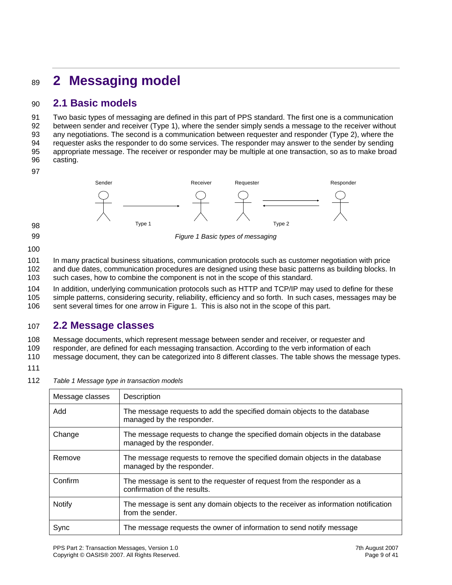## <span id="page-8-0"></span><sup>89</sup>**2 Messaging model**

### 90 **2.1 Basic models**

91 92 93 94 95 96 Two basic types of messaging are defined in this part of PPS standard. The first one is a communication between sender and receiver (Type 1), where the sender simply sends a message to the receiver without any negotiations. The second is a communication between requester and responder (Type 2), where the requester asks the responder to do some services. The responder may answer to the sender by sending appropriate message. The receiver or responder may be multiple at one transaction, so as to make broad casting.

97



99

*Figure 1 Basic types of messaging* 

100

101 102 103 In many practical business situations, communication protocols such as customer negotiation with price and due dates, communication procedures are designed using these basic patterns as building blocks. In such cases, how to combine the component is not in the scope of this standard.

104 105 In addition, underlying communication protocols such as HTTP and TCP/IP may used to define for these simple patterns, considering security, reliability, efficiency and so forth. In such cases, messages may be

106 sent several times for one arrow in Figure 1. This is also not in the scope of this part.

### 107 **2.2 Message classes**

108 Message documents, which represent message between sender and receiver, or requester and

109 responder, are defined for each messaging transaction. According to the verb information of each

110 message document, they can be categorized into 8 different classes. The table shows the message types.

- 111
- 112 *Table 1 Message type in transaction models*

| Message classes | Description                                                                                              |
|-----------------|----------------------------------------------------------------------------------------------------------|
| Add             | The message requests to add the specified domain objects to the database<br>managed by the responder.    |
| Change          | The message requests to change the specified domain objects in the database<br>managed by the responder. |
| Remove          | The message requests to remove the specified domain objects in the database<br>managed by the responder. |
| Confirm         | The message is sent to the requester of request from the responder as a<br>confirmation of the results.  |
| <b>Notify</b>   | The message is sent any domain objects to the receiver as information notification<br>from the sender.   |
| Sync            | The message requests the owner of information to send notify message                                     |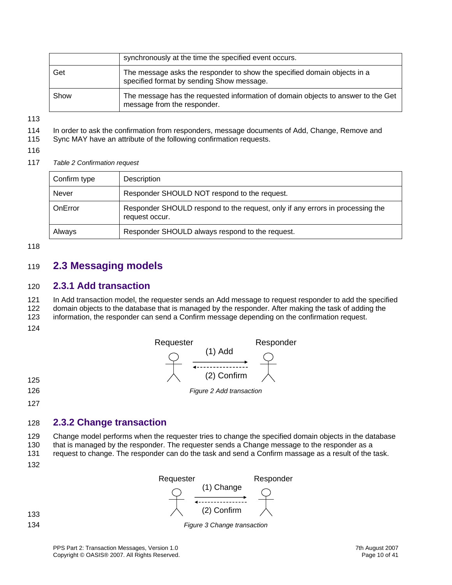<span id="page-9-0"></span>

|      | synchronously at the time the specified event occurs.                                                                 |
|------|-----------------------------------------------------------------------------------------------------------------------|
| Get  | The message asks the responder to show the specified domain objects in a<br>specified format by sending Show message. |
| Show | The message has the requested information of domain objects to answer to the Get<br>message from the responder.       |

113

- 114 In order to ask the confirmation from responders, message documents of Add, Change, Remove and
- 115 Sync MAY have an attribute of the following confirmation requests.
- 116
- 117 *Table 2 Confirmation request*

| Confirm type | Description                                                                                     |  |  |  |  |
|--------------|-------------------------------------------------------------------------------------------------|--|--|--|--|
| Never        | Responder SHOULD NOT respond to the request.                                                    |  |  |  |  |
| OnError      | Responder SHOULD respond to the request, only if any errors in processing the<br>request occur. |  |  |  |  |
| Always       | Responder SHOULD always respond to the request.                                                 |  |  |  |  |

118

#### 119 **2.3 Messaging models**

#### 120 **2.3.1 Add transaction**

121 In Add transaction model, the requester sends an Add message to request responder to add the specified

122 domain objects to the database that is managed by the responder. After making the task of adding the

123 information, the responder can send a Confirm message depending on the confirmation request.

124



- 
- 126

127

#### 128 **2.3.2 Change transaction**

129 130 Change model performs when the requester tries to change the specified domain objects in the database that is managed by the responder. The requester sends a Change message to the responder as a

- 131 request to change. The responder can do the task and send a Confirm massage as a result of the task.
- 132

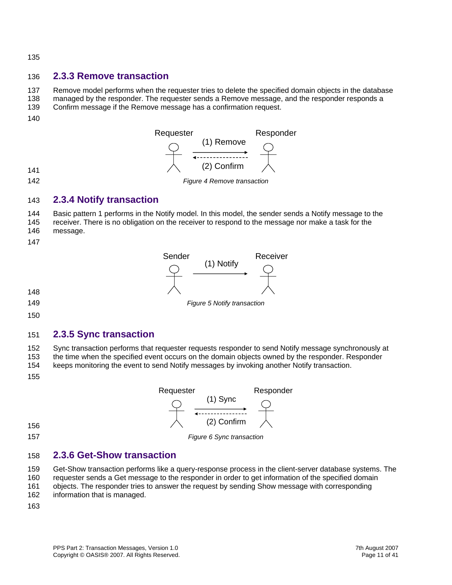<span id="page-10-0"></span>135

#### 136 **2.3.3 Remove transaction**

137 Remove model performs when the requester tries to delete the specified domain objects in the database

- 138 managed by the responder. The requester sends a Remove message, and the responder responds a
- 139 Confirm message if the Remove message has a confirmation request.
- 140



#### 143 **2.3.4 Notify transaction**

144 145 146 Basic pattern 1 performs in the Notify model. In this model, the sender sends a Notify message to the receiver. There is no obligation on the receiver to respond to the message nor make a task for the message.

- 
- 147

142



- 148 149
- 150

### 151 **2.3.5 Sync transaction**

152 153 Sync transaction performs that requester requests responder to send Notify message synchronously at the time when the specified event occurs on the domain objects owned by the responder. Responder

154 keeps monitoring the event to send Notify messages by invoking another Notify transaction.

155



157

*Figure 6 Sync transaction* 

#### 158 **2.3.6 Get-Show transaction**

159 160 Get-Show transaction performs like a query-response process in the client-server database systems. The requester sends a Get message to the responder in order to get information of the specified domain

- 161 objects. The responder tries to answer the request by sending Show message with corresponding
- 162 information that is managed.
- 163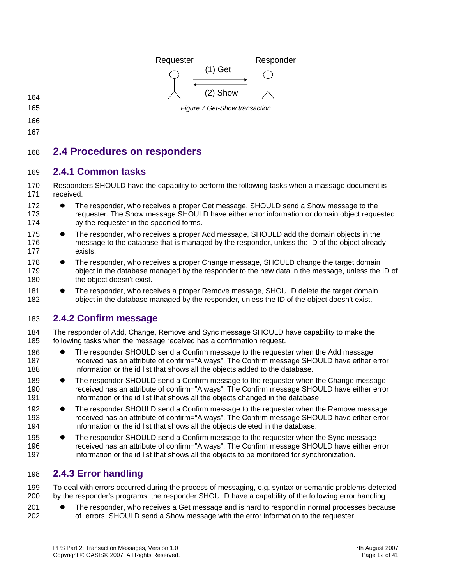<span id="page-11-0"></span>

- 
- 165
- 166
- 167

### 168 **2.4 Procedures on responders**

#### 169 **2.4.1 Common tasks**

170 171 Responders SHOULD have the capability to perform the following tasks when a massage document is received.

- 172 173 174 • The responder, who receives a proper Get message, SHOULD send a Show message to the requester. The Show message SHOULD have either error information or domain object requested by the requester in the specified forms.
- 175 176 177 The responder, who receives a proper Add message, SHOULD add the domain objects in the message to the database that is managed by the responder, unless the ID of the object already exists.
- 178 179 180 The responder, who receives a proper Change message, SHOULD change the target domain object in the database managed by the responder to the new data in the message, unless the ID of the object doesn't exist.
- 181 182 The responder, who receives a proper Remove message, SHOULD delete the target domain object in the database managed by the responder, unless the ID of the object doesn't exist.

### 183 **2.4.2 Confirm message**

- 184 185 The responder of Add, Change, Remove and Sync message SHOULD have capability to make the following tasks when the message received has a confirmation request.
- 186 187 188 The responder SHOULD send a Confirm message to the requester when the Add message received has an attribute of confirm="Always". The Confirm message SHOULD have either error information or the id list that shows all the objects added to the database.
- 189 190 191 The responder SHOULD send a Confirm message to the requester when the Change message received has an attribute of confirm="Always". The Confirm message SHOULD have either error information or the id list that shows all the objects changed in the database.
- 192 193 194 • The responder SHOULD send a Confirm message to the requester when the Remove message received has an attribute of confirm="Always". The Confirm message SHOULD have either error information or the id list that shows all the objects deleted in the database.
- 195 196 197 • The responder SHOULD send a Confirm message to the requester when the Sync message received has an attribute of confirm="Always". The Confirm message SHOULD have either error information or the id list that shows all the objects to be monitored for synchronization.

### 198 **2.4.3 Error handling**

199 200 To deal with errors occurred during the process of messaging, e.g. syntax or semantic problems detected by the responder's programs, the responder SHOULD have a capability of the following error handling:

201 202 The responder, who receives a Get message and is hard to respond in normal processes because of errors, SHOULD send a Show message with the error information to the requester.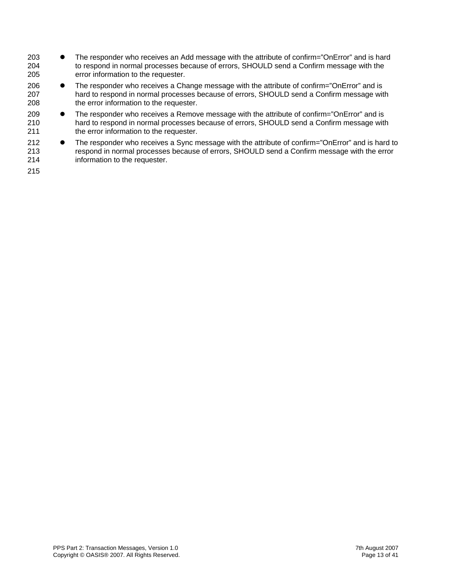- 204 205 203 ● The responder who receives an Add message with the attribute of confirm="OnError" and is hard to respond in normal processes because of errors, SHOULD send a Confirm message with the error information to the requester.
- 207 208 206 ● The responder who receives a Change message with the attribute of confirm="OnError" and is hard to respond in normal processes because of errors, SHOULD send a Confirm message with the error information to the requester.
- 210 211 209 ● The responder who receives a Remove message with the attribute of confirm="OnError" and is hard to respond in normal processes because of errors, SHOULD send a Confirm message with the error information to the requester.
- 212 213 214 • The responder who receives a Sync message with the attribute of confirm="OnError" and is hard to respond in normal processes because of errors, SHOULD send a Confirm message with the error information to the requester.
- 215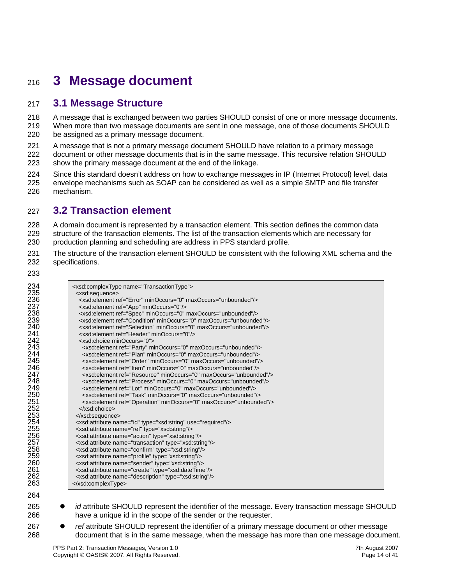## <span id="page-13-0"></span><sup>216</sup>**3 Message document**

#### 217 **3.1 Message Structure**

A message that is exchanged between two parties SHOULD consist of one or more message documents. When more than two message documents are sent in one message, one of those documents SHOULD be assigned as a primary message document. 218 219 220

- 221 A message that is not a primary message document SHOULD have relation to a primary message
- 222 223 document or other message documents that is in the same message. This recursive relation SHOULD show the primary message document at the end of the linkage.
- 224 225 226 Since this standard doesn't address on how to exchange messages in IP (Internet Protocol) level, data envelope mechanisms such as SOAP can be considered as well as a simple SMTP and file transfer mechanism.

### 227 **3.2 Transaction element**

228 229 230 A domain document is represented by a transaction element. This section defines the common data structure of the transaction elements. The list of the transaction elements which are necessary for production planning and scheduling are address in PPS standard profile.

- 231 232 The structure of the transaction element SHOULD be consistent with the following XML schema and the specifications.
- 233

| 234        | <xsd:complextype name="TransactionType"></xsd:complextype>                      |
|------------|---------------------------------------------------------------------------------|
| 235        | <xsd:sequence></xsd:sequence>                                                   |
| 236        | <xsd:element maxoccurs="unbounded" minoccurs="0" ref="Error"></xsd:element>     |
| 237        | <xsd:element minoccurs="0" ref="App"></xsd:element>                             |
| 238        | <xsd:element maxoccurs="unbounded" minoccurs="0" ref="Spec"></xsd:element>      |
|            | <xsd:element maxoccurs="unbounded" minoccurs="0" ref="Condition"></xsd:element> |
| 239<br>240 | <xsd:element maxoccurs="unbounded" minoccurs="0" ref="Selection"></xsd:element> |
| 241        | <xsd:element minoccurs="0" ref="Header"></xsd:element>                          |
| 242        | <xsd:choice minoccurs="0"></xsd:choice>                                         |
|            |                                                                                 |
| 243        | <xsd:element maxoccurs="unbounded" minoccurs="0" ref="Party"></xsd:element>     |
| 244        | <xsd:element maxoccurs="unbounded" minoccurs="0" ref="Plan"></xsd:element>      |
| 245        | <xsd:element maxoccurs="unbounded" minoccurs="0" ref="Order"></xsd:element>     |
| 246        | <xsd:element maxoccurs="unbounded" minoccurs="0" ref="ltem"></xsd:element>      |
| 247        | <xsd:element maxoccurs="unbounded" minoccurs="0" ref="Resource"></xsd:element>  |
| 248        | <xsd:element maxoccurs="unbounded" minoccurs="0" ref="Process"></xsd:element>   |
| 249        | <xsd:element maxoccurs="unbounded" minoccurs="0" ref="Lot"></xsd:element>       |
| 250        | <xsd:element maxoccurs="unbounded" minoccurs="0" ref="Task"></xsd:element>      |
| 251        | <xsd:element maxoccurs="unbounded" minoccurs="0" ref="Operation"></xsd:element> |
| 252        |                                                                                 |
| 253        |                                                                                 |
| 254        | <xsd:attribute name="id" type="xsd:string" use="required"></xsd:attribute>      |
| 255        | <xsd:attribute name="ref" type="xsd:string"></xsd:attribute>                    |
|            | <xsd:attribute name="action" type="xsd:string"></xsd:attribute>                 |
| 256<br>257 | <xsd:attribute name="transaction" type="xsd:string"></xsd:attribute>            |
| 258        | <xsd:attribute name="confirm" type="xsd:string"></xsd:attribute>                |
| 259        |                                                                                 |
|            | <xsd:attribute name="profile" type="xsd:string"></xsd:attribute>                |
| 260        | <xsd:attribute name="sender" type="xsd:string"></xsd:attribute>                 |
| 261        | <xsd:attribute name="create" type="xsd:dateTime"></xsd:attribute>               |
| 262        | <xsd:attribute name="description" type="xsd:string"></xsd:attribute>            |
| 263        |                                                                                 |
| 264        |                                                                                 |

- *id* attribute SHOULD represent the identifier of the message. Every transaction message SHOULD have a unique id in the scope of the sender or the requester.
- 267 268 *ref* attribute SHOULD represent the identifier of a primary message document or other message document that is in the same message, when the message has more than one message document.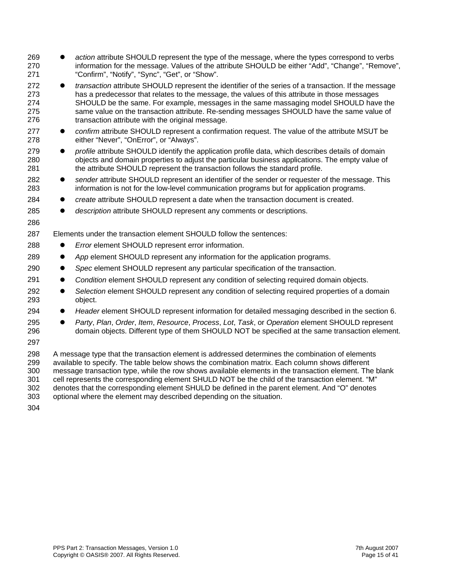| 269<br>270<br>271                             | action attribute SHOULD represent the type of the message, where the types correspond to verbs<br>information for the message. Values of the attribute SHOULD be either "Add", "Change", "Remove",<br>"Confirm", "Notify", "Sync", "Get", or "Show".                                                                                                                                                                                                                                                                                                                                       |
|-----------------------------------------------|--------------------------------------------------------------------------------------------------------------------------------------------------------------------------------------------------------------------------------------------------------------------------------------------------------------------------------------------------------------------------------------------------------------------------------------------------------------------------------------------------------------------------------------------------------------------------------------------|
| 272<br>273<br>274<br>275<br>276               | transaction attribute SHOULD represent the identifier of the series of a transaction. If the message<br>$\bullet$<br>has a predecessor that relates to the message, the values of this attribute in those messages<br>SHOULD be the same. For example, messages in the same massaging model SHOULD have the<br>same value on the transaction attribute. Re-sending messages SHOULD have the same value of<br>transaction attribute with the original message.                                                                                                                              |
| 277<br>278                                    | confirm attribute SHOULD represent a confirmation request. The value of the attribute MSUT be<br>$\bullet$<br>either "Never", "OnError", or "Always".                                                                                                                                                                                                                                                                                                                                                                                                                                      |
| 279<br>280<br>281                             | profile attribute SHOULD identify the application profile data, which describes details of domain<br>$\bullet$<br>objects and domain properties to adjust the particular business applications. The empty value of<br>the attribute SHOULD represent the transaction follows the standard profile.                                                                                                                                                                                                                                                                                         |
| 282<br>283                                    | sender attribute SHOULD represent an identifier of the sender or requester of the message. This<br>$\bullet$<br>information is not for the low-level communication programs but for application programs.                                                                                                                                                                                                                                                                                                                                                                                  |
| 284                                           | create attribute SHOULD represent a date when the transaction document is created.<br>$\bullet$                                                                                                                                                                                                                                                                                                                                                                                                                                                                                            |
| 285                                           | description attribute SHOULD represent any comments or descriptions.                                                                                                                                                                                                                                                                                                                                                                                                                                                                                                                       |
| 286                                           |                                                                                                                                                                                                                                                                                                                                                                                                                                                                                                                                                                                            |
| 287                                           | Elements under the transaction element SHOULD follow the sentences:                                                                                                                                                                                                                                                                                                                                                                                                                                                                                                                        |
| 288                                           | Error element SHOULD represent error information.                                                                                                                                                                                                                                                                                                                                                                                                                                                                                                                                          |
| 289                                           | App element SHOULD represent any information for the application programs.<br>$\bullet$                                                                                                                                                                                                                                                                                                                                                                                                                                                                                                    |
| 290                                           | Spec element SHOULD represent any particular specification of the transaction.                                                                                                                                                                                                                                                                                                                                                                                                                                                                                                             |
| 291                                           | Condition element SHOULD represent any condition of selecting required domain objects.<br>$\bullet$                                                                                                                                                                                                                                                                                                                                                                                                                                                                                        |
| 292<br>293                                    | Selection element SHOULD represent any condition of selecting required properties of a domain<br>$\bullet$<br>object.                                                                                                                                                                                                                                                                                                                                                                                                                                                                      |
| 294                                           | Header element SHOULD represent information for detailed messaging described in the section 6.<br>$\bullet$                                                                                                                                                                                                                                                                                                                                                                                                                                                                                |
| 295<br>296                                    | Party, Plan, Order, Item, Resource, Process, Lot, Task, or Operation element SHOULD represent<br>$\bullet$<br>domain objects. Different type of them SHOULD NOT be specified at the same transaction element.                                                                                                                                                                                                                                                                                                                                                                              |
| 297                                           |                                                                                                                                                                                                                                                                                                                                                                                                                                                                                                                                                                                            |
| 298<br>299<br>300<br>301<br>302<br>303<br>304 | A message type that the transaction element is addressed determines the combination of elements<br>available to specify. The table below shows the combination matrix. Each column shows different<br>message transaction type, while the row shows available elements in the transaction element. The blank<br>cell represents the corresponding element SHULD NOT be the child of the transaction element. "M"<br>denotes that the corresponding element SHULD be defined in the parent element. And "O" denotes<br>optional where the element may described depending on the situation. |
|                                               |                                                                                                                                                                                                                                                                                                                                                                                                                                                                                                                                                                                            |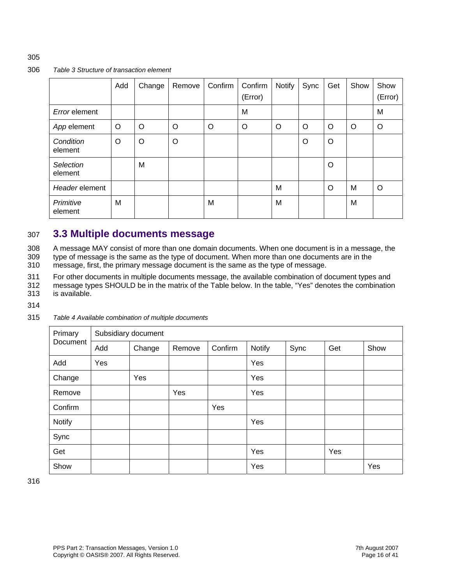#### <span id="page-15-0"></span>306 *Table 3 Structure of transaction element*

|                      | Add     | Change  | Remove | Confirm | Confirm<br>(Error) | <b>Notify</b> | Sync    | Get     | Show | Show<br>(Error) |
|----------------------|---------|---------|--------|---------|--------------------|---------------|---------|---------|------|-----------------|
| Error element        |         |         |        |         | M                  |               |         |         |      | M               |
| App element          | O       | O       | O      | O       | O                  | O             | O       | O       | O    | O               |
| Condition<br>element | $\circ$ | $\circ$ | O      |         |                    |               | $\circ$ | $\circ$ |      |                 |
| Selection<br>element |         | M       |        |         |                    |               |         | $\circ$ |      |                 |
| Header element       |         |         |        |         |                    | M             |         | $\circ$ | M    | $\circ$         |
| Primitive<br>element | M       |         |        | M       |                    | M             |         |         | M    |                 |

#### 307 **3.3 Multiple documents message**

A message MAY consist of more than one domain documents. When one document is in a message, the type of message is the same as the type of document. When more than one documents are in the 308 309

message, first, the primary message document is the same as the type of message. 310

311 For other documents in multiple documents message, the available combination of document types and

312 313 message types SHOULD be in the matrix of the Table below. In the table, "Yes" denotes the combination is available.

- 
- 314

#### 315 *Table 4 Available combination of multiple documents*

| Primary       | Subsidiary document |        |        |         |        |      |     |      |  |
|---------------|---------------------|--------|--------|---------|--------|------|-----|------|--|
| Document      | Add                 | Change | Remove | Confirm | Notify | Sync | Get | Show |  |
| Add           | Yes                 |        |        |         | Yes    |      |     |      |  |
| Change        |                     | Yes    |        |         | Yes    |      |     |      |  |
| Remove        |                     |        | Yes    |         | Yes    |      |     |      |  |
| Confirm       |                     |        |        | Yes     |        |      |     |      |  |
| <b>Notify</b> |                     |        |        |         | Yes    |      |     |      |  |
| Sync          |                     |        |        |         |        |      |     |      |  |
| Get           |                     |        |        |         | Yes    |      | Yes |      |  |
| Show          |                     |        |        |         | Yes    |      |     | Yes  |  |

316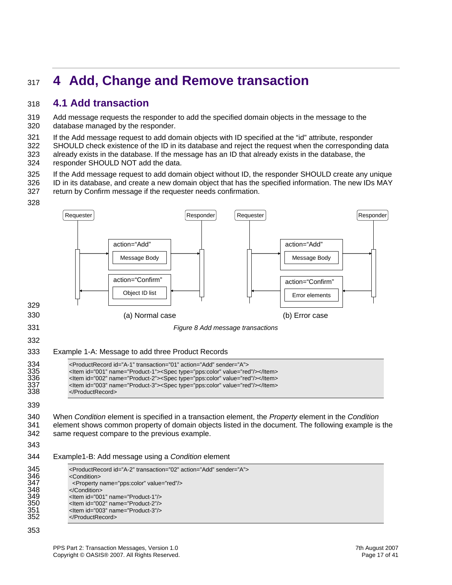## <span id="page-16-0"></span><sup>317</sup>**4 Add, Change and Remove transaction**

#### 318 **4.1 Add transaction**

319 320 Add message requests the responder to add the specified domain objects in the message to the database managed by the responder.

321 322 323 324 If the Add message request to add domain objects with ID specified at the "id" attribute, responder SHOULD check existence of the ID in its database and reject the request when the corresponding data already exists in the database. If the message has an ID that already exists in the database, the responder SHOULD NOT add the data.

325 326 If the Add message request to add domain object without ID, the responder SHOULD create any unique ID in its database, and create a new domain object that has the specified information. The new IDs MAY



#### action="Add" action="Confirm" Message Body Object ID list Requester | New York | Responder action="Add" Message Body Requester Responder action="Confirm" Error elements 329 330 331 332 333 (a) Normal case (b) Error case *Figure 8 Add message transactions*  Example 1-A: Message to add three Product Records 334 <ProductRecord id="A-1" transaction="01" action="Add" sender="A"><br>335 <ltem id="001" name="Product-1"><Spec type="pps:color" value="rec<br>336 <ltem id="002" name="Product-2"><Spec type="pps:color" value="rec 335 <Item id="001" name="Product-1"><Spec type="pps:color" value="red"/></Item> 336 <Item id="002" name="Product-2"><Spec type="pps:color" value="red"/></Item> <ltem id="003" name="Product-3"><Spec type="pps:color" value="red"/></ltem> 338 339 340 341 342 343 344 </ProductRecord> When *Condition* element is specified in a transaction element, the *Property* element in the *Condition* element shows common property of domain objects listed in the document. The following example is the same request compare to the previous example. Example1-B: Add message using a *Condition* element 345 <ProductRecord id="A-2" transaction="02" action="Add" sender="A"><br>346 <Condition><br>347 <Property name="pps:color" value="red"/> <Condition> 347 </roperty name="pps:color" value="red"/><br>348 </Condition> 348 </Condition><br>349 </condition> 349 <Item id="001" name="Product-1"/> 350 <ttem id="002" name="Product-2"/><br>351 <ttem id="003" name="Product-3"/> <ltem id="003" name="Product-3"/> 352 </ProductRecord>

#### 353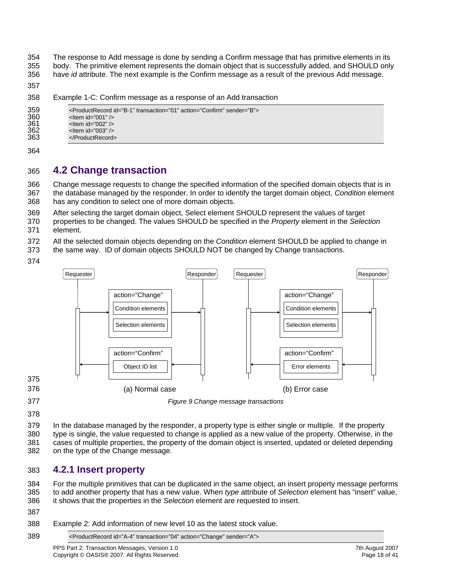<span id="page-17-0"></span>354 355 The response to Add message is done by sending a Confirm message that has primitive elements in its body. The primitive element represents the domain object that is successfully added, and SHOULD only

356 have *id* attribute. The next example is the Confirm message as a result of the previous Add message.

357

358 Example 1-C: Confirm message as a response of an Add transaction

```
359 <ProductRecord id="B-1" transaction="01" action="Confirm" sender="B"> 
360 <tem id="001" /><br>361 <tem id="002" />
361 <Item id="002" /> 
               <ltem id="003" />
363 
               </ProductRecord>
```
364

#### 365 **4.2 Change transaction**

366 367 368 Change message requests to change the specified information of the specified domain objects that is in the database managed by the responder. In order to identify the target domain object, *Condition* element has any condition to select one of more domain objects.

369 After selecting the target domain object, Select element SHOULD represent the values of target

370 371 properties to be changed. The values SHOULD be specified in the *Property* element in the *Selection* element.

- 372 All the selected domain objects depending on the *Condition* element SHOULD be applied to change in
- 373 the same way. ID of domain objects SHOULD NOT be changed by Change transactions.
- 374



378

379 380 381 382 In the database managed by the responder, a property type is either single or multiple. If the property type is single, the value requested to change is applied as a new value of the property. Otherwise, in the cases of multiple properties, the property of the domain object is inserted, updated or deleted depending on the type of the Change message.

#### 383 **4.2.1 Insert property**

384 385 386 For the multiple primitives that can be duplicated in the same object, an insert property message performs to add another property that has a new value. When *type* attribute of *Selection* element has "insert" value, it shows that the properties in the *Selection* element are requested to insert.

- 387
- 388 Example 2: Add information of new level 10 as the latest stock value.

389 <ProductRecord id="A-4" transaction="04" action="Change" sender="A">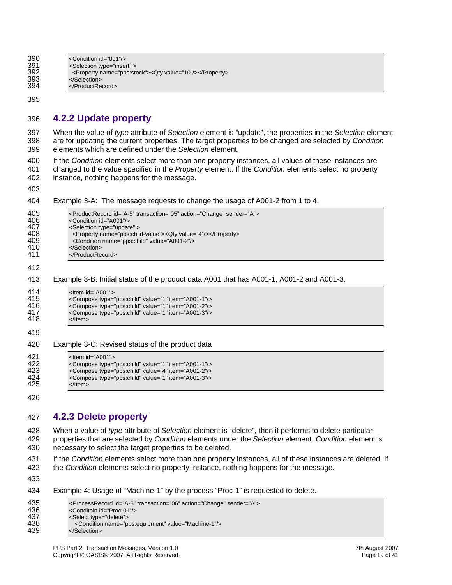<span id="page-18-0"></span>

| 390 | <condition id="001"></condition>                             |
|-----|--------------------------------------------------------------|
| 391 | <selection type="insert"></selection>                        |
| 392 | <property name="pps:stock"><qty value="10"></qty></property> |
| 393 |                                                              |
| 394 |                                                              |

395

#### 396 **4.2.2 Update property**

397 When the value of *type* attribute of *Selection* element is "update", the properties in the *Selection* element 398 399 are for updating the current properties. The target properties to be changed are selected by *Condition* elements which are defined under the *Selection* element.

400 If the *Condition* elements select more than one property instances, all values of these instances are 401 402 changed to the value specified in the *Property* element. If the *Condition* elements select no property instance, nothing happens for the message.

403

#### 404 Example 3-A: The message requests to change the usage of A001-2 from 1 to 4.

| 405<br>406<br>407<br>408<br>409<br>410<br>411 | <productrecord action="Change" id="A-5" sender="A" transaction="05"><br/><condition id="A001"></condition><br/><selection type="update"><br/><property name="pps:child-value"><qty value="4"></qty></property><br/><condition name="pps:child" value="A001-2"></condition><br/></selection><br/></productrecord> |
|-----------------------------------------------|------------------------------------------------------------------------------------------------------------------------------------------------------------------------------------------------------------------------------------------------------------------------------------------------------------------|
| 412                                           |                                                                                                                                                                                                                                                                                                                  |
| 413                                           | Example 3-B: Initial status of the product data A001 that has A001-1, A001-2 and A001-3.                                                                                                                                                                                                                         |
| 414<br>415<br>416<br>417<br>418               | <ltem id="A001"><br/><compose item="A001-1" type="pps:child" value="1"></compose><br/><compose item="A001-2" type="pps:child" value="1"></compose><br/><compose item="A001-3" type="pps:child" value="1"></compose><br/></ltem>                                                                                  |
| 419                                           |                                                                                                                                                                                                                                                                                                                  |
| 420                                           | Example 3-C: Revised status of the product data                                                                                                                                                                                                                                                                  |
| 421<br>422<br>423<br>424<br>425               | $<$ Item id="A001"><br><compose item="A001-1" type="pps:child" value="1"></compose><br><compose item="A001-2" type="pps:child" value="4"></compose><br><compose item="A001-3" type="pps:child" value="1"></compose><br>$\langle$ ltem $\rangle$                                                                  |

426

#### 427 **4.2.3 Delete property**

428 When a value of *type* attribute of Selection element is "delete", then it performs to delete particular 429 properties that are selected by *Condition* elements under the *Selection* element. *Condition* element is 430 necessary to select the target properties to be deleted.

431 If the *Condition* elements select more than one property instances, all of these instances are deleted. If 432 the *Condition* elements select no property instance, nothing happens for the message.

433

#### 434 Example 4: Usage of "Machine-1" by the process "Proc-1" is requested to delete.

| 435 | <processrecord action="Change" id="A-6" sender="A" transaction="06"></processrecord> |
|-----|--------------------------------------------------------------------------------------|
| 436 | <conditoin id="Proc-01"></conditoin>                                                 |
| 437 | <select type="delete"></select>                                                      |
| 438 | <condition name="pps:equipment" value="Machine-1"></condition>                       |
| 439 |                                                                                      |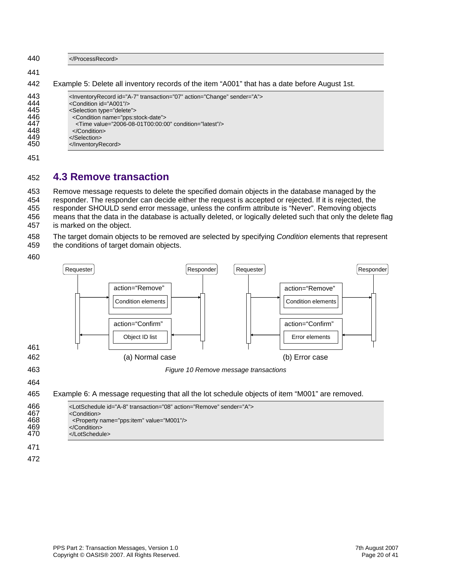<span id="page-19-0"></span>

| 440                                                  |                                                                                                                                                                                                                                                                                                                                                                                   |
|------------------------------------------------------|-----------------------------------------------------------------------------------------------------------------------------------------------------------------------------------------------------------------------------------------------------------------------------------------------------------------------------------------------------------------------------------|
| 441                                                  |                                                                                                                                                                                                                                                                                                                                                                                   |
| 442                                                  | Example 5: Delete all inventory records of the item "A001" that has a date before August 1st.                                                                                                                                                                                                                                                                                     |
| 443<br>444<br>445<br>446<br>447<br>448<br>449<br>450 | <lnventoryrecord action="Change" id="A-7" sender="A" transaction="07"><br/><condition id="A001"></condition><br/><selection type="delete"><br/><condition name="pps:stock-date"><br/><math>\le</math>Time value="2006-08-01T00:00:00" condition="latest"/<math>&gt;</math><br/><math>\langle</math>Condition<math>&gt;</math><br/></condition></selection><br/></lnventoryrecord> |
| 451                                                  |                                                                                                                                                                                                                                                                                                                                                                                   |

#### **4.3 Remove transaction**  452

453 Remove message requests to delete the specified domain objects in the database managed by the 454 455 456 means that the data in the database is actually deleted, or logically deleted such that only the delete flag responder. The responder can decide either the request is accepted or rejected. If it is rejected, the responder SHOULD send error message, unless the confirm attribute is "Never". Removing objects

457 is marked on the object.

458 The target domain objects to be removed are selected by specifying *Condition* elements that represent

- 459 the conditions of target domain objects.
- 460

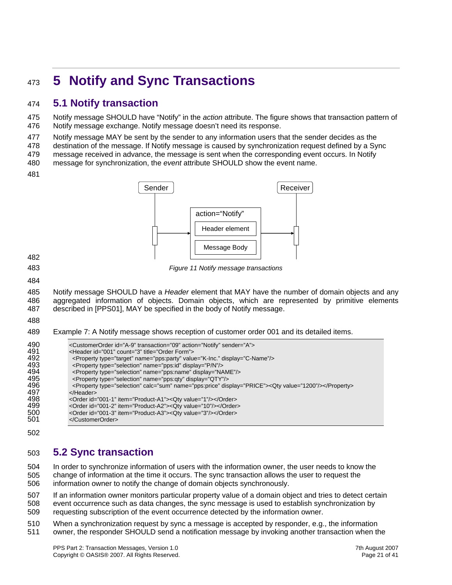## <span id="page-20-0"></span><sup>473</sup>**5 Notify and Sync Transactions**

### 474 **5.1 Notify transaction**

475 476 Notify message SHOULD have "Notify" in the *action* attribute. The figure shows that transaction pattern of Notify message exchange. Notify message doesn't need its response.

477 Notify message MAY be sent by the sender to any information users that the sender decides as the

478 destination of the message. If Notify message is caused by synchronization request defined by a Sync

479 message received in advance, the message is sent when the corresponding event occurs. In Notify

480 message for synchronization, the *event* attribute SHOULD show the event name.

481



482 483

*Figure 11 Notify message transactions* 

484

485 486 487 Notify message SHOULD have a *Header* element that MAY have the number of domain objects and any aggregated information of objects. Domain objects, which are represented by primitive elements described in [PPS01], MAY be specified in the body of Notify message.

488

489 Example 7: A Notify message shows reception of customer order 001 and its detailed items.

| 490 | <customerorder action="Notify" id="A-9" sender="A" transaction="09"></customerorder>                       |
|-----|------------------------------------------------------------------------------------------------------------|
| 491 | <header count="3" id="001" title="Order Form"></header>                                                    |
| 492 | <property display="C-Name" name="pps:party" type="target" value="K-lnc."></property>                       |
| 493 | <property display="P/N" name="pps:id" type="selection"></property>                                         |
| 494 | <property display="NAME" name="pps:name" type="selection"></property>                                      |
| 495 | <property display="QTY" name="pps:qty" type="selection"></property>                                        |
| 496 | <property calc="sum" display="PRICE" name="pps:price" type="selection"><qty value="1200"></qty></property> |
| 497 |                                                                                                            |
| 498 | <order id="001-1" item="Product-A1"><qty value="1"></qty></order>                                          |
| 499 | <order id="001-2" item="Product-A2"><qty value="10"></qty></order>                                         |
| 500 | <order id="001-3" item="Product-A3"><qty value="3"></qty></order>                                          |
| 501 |                                                                                                            |
|     |                                                                                                            |

502

### 503 **5.2 Sync transaction**

504 505 506 In order to synchronize information of users with the information owner, the user needs to know the change of information at the time it occurs. The sync transaction allows the user to request the information owner to notify the change of domain objects synchronously.

507 508 509 If an information owner monitors particular property value of a domain object and tries to detect certain event occurrence such as data changes, the sync message is used to establish synchronization by requesting subscription of the event occurrence detected by the information owner.

510 511 When a synchronization request by sync a message is accepted by responder, e.g., the information owner, the responder SHOULD send a notification message by invoking another transaction when the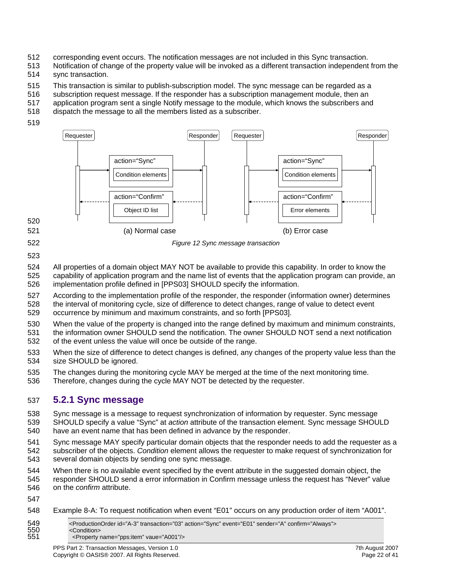- <span id="page-21-0"></span>512 corresponding event occurs. The notification messages are not included in this Sync transaction.
- 513 514 Notification of change of the property value will be invoked as a different transaction independent from the sync transaction.
- 515 This transaction is similar to publish-subscription model. The sync message can be regarded as a
- 516 subscription request message. If the responder has a subscription management module, then an
- 517 application program sent a single Notify message to the module, which knows the subscribers and
- 518 dispatch the message to all the members listed as a subscriber.
- 519



*Figure 12 Sync message transaction* 

522 523

524 All properties of a domain object MAY NOT be available to provide this capability. In order to know the

- 525 526 capability of application program and the name list of events that the application program can provide, an implementation profile defined in [PPS03] SHOULD specify the information.
- 527 According to the implementation profile of the responder, the responder (information owner) determines
- 528 529 the interval of monitoring cycle, size of difference to detect changes, range of value to detect event occurrence by minimum and maximum constraints, and so forth [PPS03].
- 530 531 When the value of the property is changed into the range defined by maximum and minimum constraints, the information owner SHOULD send the notification. The owner SHOULD NOT send a next notification
- 532 of the event unless the value will once be outside of the range.
- 533 534 When the size of difference to detect changes is defined, any changes of the property value less than the size SHOULD be ignored.
- 535 The changes during the monitoring cycle MAY be merged at the time of the next monitoring time.
- 536 Therefore, changes during the cycle MAY NOT be detected by the requester.

### 537 **5.2.1 Sync message**

- 538 539 Sync message is a message to request synchronization of information by requester. Sync message SHOULD specify a value "Sync" at *action* attribute of the transaction element. Sync message SHOULD
- 540 have an event name that has been defined in advance by the responder.
- 541 542 543 Sync message MAY specify particular domain objects that the responder needs to add the requester as a subscriber of the objects. *Condition* element allows the requester to make request of synchronization for several domain objects by sending one sync message.
- 544 When there is no available event specified by the event attribute in the suggested domain object, the
- 545 546 responder SHOULD send a error information in Confirm message unless the request has "Never" value on the *confirm* attribute.
- 547
- 548 Example 8-A: To request notification when event "E01" occurs on any production order of item "A001".
- 549 <ProductionOrder id="A-3" transaction="03" action="Sync" event="E01" sender="A" confirm="Always"> 550 <Condition><br>551 <cDoperty 551 <Property name="pps:item" vaue="A001"/>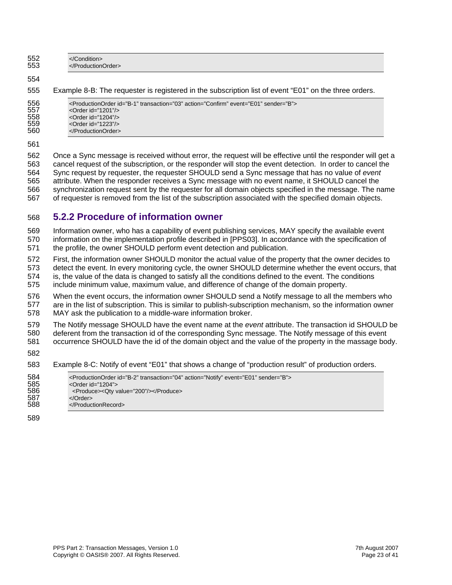<span id="page-22-0"></span>552 </Condition><br>553 </Production </ProductionOrder>

#### 554

555 Example 8-B: The requester is registered in the subscription list of event "E01" on the three orders.

| 556 | <productionorder action="Confirm" event="E01" id="B-1" sender="B" transaction="03"></productionorder> |
|-----|-------------------------------------------------------------------------------------------------------|
| 557 | < $Order$ id="1201" $\prime$                                                                          |
| 558 | < $Order$ id="1204" $/$                                                                               |
| 559 | <order id="1223"></order>                                                                             |
| 560 |                                                                                                       |

561

562 Once a Sync message is received without error, the request will be effective until the responder will get a 563 564 565 566 synchronization request sent by the requester for all domain objects specified in the message. The name 567 cancel request of the subscription, or the responder will stop the event detection. In order to cancel the Sync request by requester, the requester SHOULD send a Sync message that has no value of *event* attribute. When the responder receives a Sync message with no event name, it SHOULD cancel the of requester is removed from the list of the subscription associated with the specified domain objects.

#### 568 **5.2.2 Procedure of information owner**

569 Information owner, who has a capability of event publishing services, MAY specify the available event 570 571 information on the implementation profile described in [PPS03]. In accordance with the specification of the profile, the owner SHOULD perform event detection and publication.

572 First, the information owner SHOULD monitor the actual value of the property that the owner decides to 573 detect the event. In every monitoring cycle, the owner SHOULD determine whether the event occurs, that 574 575 is, the value of the data is changed to satisfy all the conditions defined to the event. The conditions include minimum value, maximum value, and difference of change of the domain property.

576 When the event occurs, the information owner SHOULD send a Notify message to all the members who 577 578 are in the list of subscription. This is similar to publish-subscription mechanism, so the information owner MAY ask the publication to a middle-ware information broker.

579 The Notify message SHOULD have the event name at the *event* attribute. The transaction id SHOULD be 580 deferent from the transaction id of the corresponding Sync message. The Notify message of this event

- 581 occurrence SHOULD have the id of the domain object and the value of the property in the massage body.
- 582

583 Example 8-C: Notify of event "E01" that shows a change of "production result" of production orders.

| 584 | <productionorder action="Notify" event="E01" id="B-2" sender="B" transaction="04"></productionorder> |
|-----|------------------------------------------------------------------------------------------------------|
| 585 | $\leq$ Order id="1204">                                                                              |
| 586 | <produce><qty value="200"></qty></produce>                                                           |
| 587 | $\langle$ Order $>$                                                                                  |
| 588 |                                                                                                      |
|     |                                                                                                      |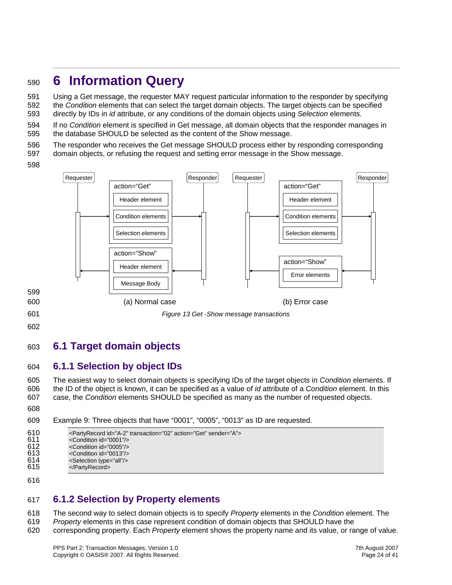## <span id="page-23-0"></span><sup>590</sup>**6 Information Query**

591 592 593 Using a Get message, the requester MAY request particular information to the responder by specifying the *Condition* elements that can select the target domain objects. The target objects can be specified directly by IDs in *id* attribute, or any conditions of the domain objects using *Selection* elements.

594 595 If no *Condition* element is specified in Get message, all domain objects that the responder manages in the database SHOULD be selected as the content of the Show message.

596 The responder who receives the Get message SHOULD process either by responding corresponding

597 domain objects, or refusing the request and setting error message in the Show message.





601 602

### 603 **6.1 Target domain objects**

#### 604 **6.1.1 Selection by object IDs**

605 606 607 The easiest way to select domain objects is specifying IDs of the target objects in *Condition* elements. If the ID of the object is known, it can be specified as a value of *id* attribute of a *Condition* element. In this case, the *Condition* elements SHOULD be specified as many as the number of requested objects.

608

609 Example 9: Three objects that have "0001", "0005", "0013" as ID are requested.

```
610 <PartyRecord id="A-2" transaction="02" action="Get" sender="A"><br>611 <condition id="0001"/>
611 <Condition id="0001"/> 
612 < Condition id="0005"/><br>613 < Condition id="0013"/>
613 <Condition id="0013"/><br>614 <Selection type="all"/>
                  <Selection type="all"/>
615 
                  </PartyRecord>
```
616

### 617 **6.1.2 Selection by Property elements**

618 The second way to select domain objects is to specify *Property* elements in the *Condition* element. The

619 *Property* elements in this case represent condition of domain objects that SHOULD have the

620 corresponding property. Each *Property* element shows the property name and its value, or range of value.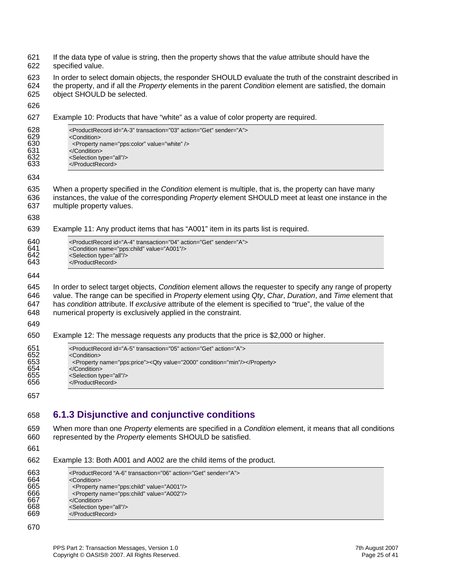<span id="page-24-0"></span>

| 621<br>622                             | If the data type of value is string, then the property shows that the value attribute should have the<br>specified value.                                                                                                                                                                                                                                                                       |
|----------------------------------------|-------------------------------------------------------------------------------------------------------------------------------------------------------------------------------------------------------------------------------------------------------------------------------------------------------------------------------------------------------------------------------------------------|
| 623<br>624<br>625                      | In order to select domain objects, the responder SHOULD evaluate the truth of the constraint described in<br>the property, and if all the Property elements in the parent Condition element are satisfied, the domain<br>object SHOULD be selected.                                                                                                                                             |
| 626                                    |                                                                                                                                                                                                                                                                                                                                                                                                 |
| 627                                    | Example 10: Products that have "white" as a value of color property are required.                                                                                                                                                                                                                                                                                                               |
| 628<br>629<br>630<br>631<br>632<br>633 | <productrecord action="Get" id="A-3" sender="A" transaction="03"><br/><condition><br/><property name="pps:color" value="white"></property><br/></condition><br/><selection type="all"></selection><br/></productrecord>                                                                                                                                                                         |
| 634                                    |                                                                                                                                                                                                                                                                                                                                                                                                 |
| 635<br>636<br>637                      | When a property specified in the Condition element is multiple, that is, the property can have many<br>instances, the value of the corresponding Property element SHOULD meet at least one instance in the<br>multiple property values.                                                                                                                                                         |
| 638<br>639                             | Example 11: Any product items that has "A001" item in its parts list is required.                                                                                                                                                                                                                                                                                                               |
|                                        |                                                                                                                                                                                                                                                                                                                                                                                                 |
| 640<br>641<br>642<br>643               | <productrecord action="Get" id="A-4" sender="A" transaction="04"><br/><condition name="pps:child" value="A001"></condition><br/><selection type="all"></selection><br/></productrecord>                                                                                                                                                                                                         |
| 644                                    |                                                                                                                                                                                                                                                                                                                                                                                                 |
| 645<br>646<br>647<br>648<br>649        | In order to select target objects, Condition element allows the requester to specify any range of property<br>value. The range can be specified in Property element using Qty, Char, Duration, and Time element that<br>has condition attribute. If exclusive attribute of the element is specified to "true", the value of the<br>numerical property is exclusively applied in the constraint. |
| 650                                    | Example 12: The message requests any products that the price is \$2,000 or higher.                                                                                                                                                                                                                                                                                                              |
| 651                                    | <productrecord action="A" id="A-5" transaction="05"></productrecord>                                                                                                                                                                                                                                                                                                                            |
| 652<br>653<br>654<br>655<br>656        | <condition><br/><property name="pps:price"><qty condition="min" value="2000"></qty></property><br/></condition><br><selection type="all"></selection><br>                                                                                                                                                                                                                                       |
| 657                                    |                                                                                                                                                                                                                                                                                                                                                                                                 |
| 658                                    | 6.1.3 Disjunctive and conjunctive conditions                                                                                                                                                                                                                                                                                                                                                    |
| 659<br>660<br>661                      | When more than one Property elements are specified in a Condition element, it means that all conditions<br>represented by the Property elements SHOULD be satisfied.                                                                                                                                                                                                                            |
| 662                                    | Example 13: Both A001 and A002 are the child items of the product.                                                                                                                                                                                                                                                                                                                              |
| 663<br>664<br>665<br>666<br>667<br>668 | <productrecord "a-6"="" action="Get" sender="A" transaction="06"><br/><condition><br/><property name="pps:child" value="A001"></property><br/><property name="pps:child" value="A002"></property><br/></condition><br/><selection type="all"></selection></productrecord>                                                                                                                       |

- 669 </ProductRecord>
- 670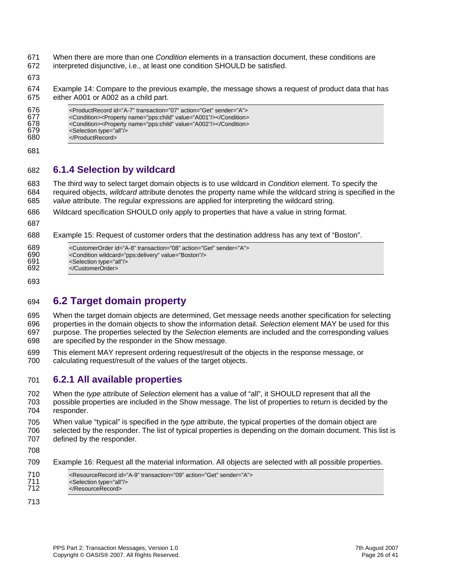- <span id="page-25-0"></span>671 When there are more than one *Condition* elements in a transaction document, these conditions are
- 672 interpreted disjunctive, i.e., at least one condition SHOULD be satisfied.
- 673

674 675 Example 14: Compare to the previous example, the message shows a request of product data that has either A001 or A002 as a child part.

681

#### 682 **6.1.4 Selection by wildcard**

683 684 685 The third way to select target domain objects is to use wildcard in *Condition* element. To specify the required objects, *wildcard* attribute denotes the property name while the wildcard string is specified in the *value* attribute. The regular expressions are applied for interpreting the wildcard string.

- 686 Wildcard specification SHOULD only apply to properties that have a value in string format.
- 687
- 688 Example 15: Request of customer orders that the destination address has any text of "Boston".

| 689 | <customerorder action="Get" id="A-8" sender="A" transaction="08"></customerorder> |
|-----|-----------------------------------------------------------------------------------|
| 690 | <condition value="Boston" wildcard="pps:delivery"></condition>                    |
| 691 | <selection type="all"></selection>                                                |
| 692 |                                                                                   |

693

### 694 **6.2 Target domain property**

695 696 697 698 When the target domain objects are determined, Get message needs another specification for selecting properties in the domain objects to show the information detail. *Selection* element MAY be used for this purpose. The properties selected by the *Selection* elements are included and the corresponding values are specified by the responder in the Show message.

699 700 This element MAY represent ordering request/result of the objects in the response message, or calculating request/result of the values of the target objects.

#### 701 **6.2.1 All available properties**

702 703 704 When the *type* attribute of *Selection* element has a value of "all", it SHOULD represent that all the possible properties are included in the Show message. The list of properties to return is decided by the responder.

705 706 When value "typical" is specified in the *type* attribute, the typical properties of the domain object are selected by the responder. The list of typical properties is depending on the domain document. This list is

- 707 defined by the responder.
- 708

709 Example 16: Request all the material information. All objects are selected with all possible properties.

| 710 | <resourcerecord action="Get" id="A-9" sender="A" transaction="09"></resourcerecord> |
|-----|-------------------------------------------------------------------------------------|
| 711 | <selection type="all"></selection>                                                  |
| 712 |                                                                                     |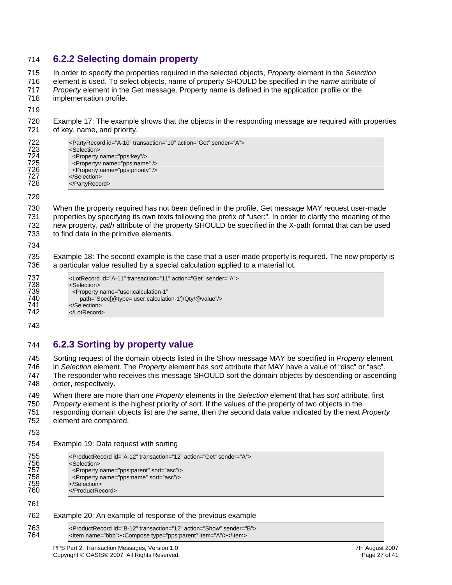#### <span id="page-26-0"></span>714 **6.2.2 Selecting domain property**

715 In order to specify the properties required in the selected objects, *Property* element in the *Selection*

716 element is used. To select objects, name of property SHOULD be specified in the *name* attribute of

717 *Property* element in the Get message. Property name is defined in the application profile or the

718 implementation profile.

719

720 721 Example 17: The example shows that the objects in the responding message are required with properties of key, name, and priority.

| 722 | <partyrecord action="Get" id="A-10" sender="A" transaction="10"></partyrecord> |
|-----|--------------------------------------------------------------------------------|
| 723 | <selection></selection>                                                        |
| 724 | <property name="pps:key"></property>                                           |
| 725 | <propertyy name="pps:name"></propertyy>                                        |
| 726 | <property name="pps:priority"></property>                                      |
| 727 |                                                                                |
| 728 |                                                                                |
|     |                                                                                |

729

730 731 732 733 When the property required has not been defined in the profile, Get message MAY request user-made properties by specifying its own texts following the prefix of "user:". In order to clarify the meaning of the new property, *path* attribute of the property SHOULD be specified in the X-path format that can be used to find data in the primitive elements.

734

735 736 Example 18: The second example is the case that a user-made property is required. The new property is a particular value resulted by a special calculation applied to a material lot.

743

### 744 **6.2.3 Sorting by property value**

745 746 747 Sorting request of the domain objects listed in the Show message MAY be specified in *Property* element in *Selection* element. The *Property* element has *sort* attribute that MAY have a value of "disc" or "asc". The responder who receives this message SHOULD sort the domain objects by descending or ascending

748 order, respectively.

749 750 751 When there are more than one *Property* elements in the *Selection* element that has *sort* attribute, first *Property* element is the highest priority of sort. If the values of the property of two objects in the responding domain objects list are the same, then the second data value indicated by the next *Property*

752 element are compared.

753

#### 754 Example 19: Data request with sorting

761

#### 762 Example 20: An example of response of the previous example

763 <ProductRecord id="B-12" transaction="12" action="Show" sender="B"><br>764 <ltem name="bbb"><Compose type="pps:parent" item="A"/></ltem> <ltem name="bbb"><Compose type="pps:parent" item="A"/></ltem>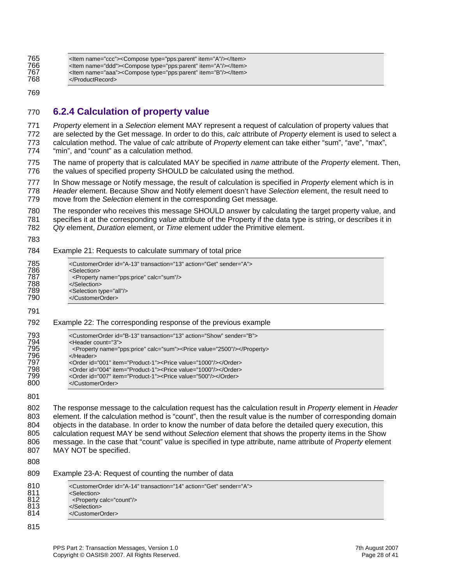<span id="page-27-0"></span>

#### 769

#### 770 **6.2.4 Calculation of property value**

771 772 773 774 *Property* element in a *Selection* element MAY represent a request of calculation of property values that are selected by the Get message. In order to do this, *calc* attribute of *Property* element is used to select a calculation method. The value of *calc* attribute of *Property* element can take either "sum", "ave", "max", "min", and "count" as a calculation method.

775 776 The name of property that is calculated MAY be specified in *name* attribute of the *Property* element. Then, the values of specified property SHOULD be calculated using the method.

777 778 779 In Show message or Notify message, the result of calculation is specified in *Property* element which is in *Header* element. Because Show and Notify element doesn't have *Selection* element, the result need to move from the *Selection* element in the corresponding Get message.

780 781 The responder who receives this message SHOULD answer by calculating the target property value, and specifies it at the corresponding *value* attribute of the Property if the data type is string, or describes it in

782 *Qty* element, *Duration* element, or *Time* element udder the Primitive element.

783

784 Example 21: Requests to calculate summary of total price

| 785 | <customerorder action="Get" id="A-13" sender="A" transaction="13"></customerorder> |
|-----|------------------------------------------------------------------------------------|
| 786 | <selection></selection>                                                            |
| 787 | <property calc="sum" name="pps:price"></property>                                  |
| 788 |                                                                                    |
| 789 | <selection type="all"></selection>                                                 |
| 790 |                                                                                    |
|     |                                                                                    |
| 791 |                                                                                    |

792 Example 22: The corresponding response of the previous example

| 793 | <customerorder action="Show" id="B-13" sender="B" transaction="13"></customerorder> |
|-----|-------------------------------------------------------------------------------------|
| 794 | <header count="3"></header>                                                         |
| 795 | <property calc="sum" name="pps:price"><price value="2500"></price></property>       |
| 796 |                                                                                     |
| 797 | <order id="001" item="Product-1"><price value="1000"></price></order>               |
| 798 | <order id="004" item="Product-1"><price value="1000"></price></order>               |
| 799 | <order id="007" item="Product-1"><price value="500"></price></order>                |
| 800 |                                                                                     |
|     |                                                                                     |

801

802 803 804 805 806 807 The response message to the calculation request has the calculation result in *Property* element in *Header* element. If the calculation method is "count", then the result value is the number of corresponding domain objects in the database. In order to know the number of data before the detailed query execution, this calculation request MAY be send without *Selection* element that shows the property items in the Show message. In the case that "count" value is specified in type attribute, name attribute of *Property* element MAY NOT be specified.

808

| 809 |  | Example 23-A: Request of counting the number of data |
|-----|--|------------------------------------------------------|
|     |  |                                                      |

| 810<br><customerorder action="Get" id="A-14" sender="A" transaction="14"><br/>811<br/><selection><br/>812<br/><property calc="count"></property><br/>813<br/></selection><br/>814<br/></customerorder> |  |
|--------------------------------------------------------------------------------------------------------------------------------------------------------------------------------------------------------|--|
|--------------------------------------------------------------------------------------------------------------------------------------------------------------------------------------------------------|--|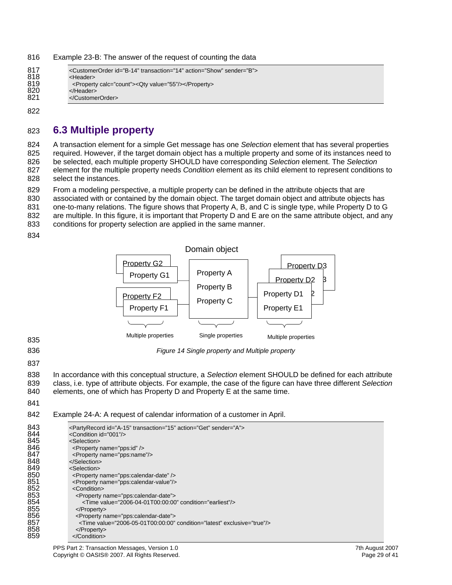<span id="page-28-0"></span>816 Example 23-B: The answer of the request of counting the data

| 817 | <customerorder action="Show" id="B-14" sender="B" transaction="14"></customerorder> |
|-----|-------------------------------------------------------------------------------------|
| 818 | <header></header>                                                                   |
| 819 | <property calc="count"><qty value="55"></qty></property>                            |
| 820 | $<$ /Header $>$                                                                     |
| 821 |                                                                                     |
|     |                                                                                     |

822

### 823 **6.3 Multiple property**

824 A transaction element for a simple Get message has one *Selection* element that has several properties

825 required. However, if the target domain object has a multiple property and some of its instances need to be selected, each multiple property SHOULD have corresponding *Selection* element. The *Selection*

826 827 828 element for the multiple property needs *Condition* element as its child element to represent conditions to select the instances.

829 From a modeling perspective, a multiple property can be defined in the attribute objects that are

830 associated with or contained by the domain object. The target domain object and attribute objects has

831 one-to-many relations. The figure shows that Property A, B, and C is single type, while Property D to G

832 are multiple. In this figure, it is important that Property D and E are on the same attribute object, and any

833 conditions for property selection are applied in the same manner.

834



*Figure 14 Single property and Multiple property* 

836 837

838 In accordance with this conceptual structure, a *Selection* element SHOULD be defined for each attribute

- 839 840 class, i.e. type of attribute objects. For example, the case of the figure can have three different *Selection* elements, one of which has Property D and Property E at the same time.
- 841

#### 842 Example 24-A: A request of calendar information of a customer in April.

| 843<br>844 | <partyrecord action="Get" id="A-15" sender="A" transaction="15"><br/><condition id="001"></condition></partyrecord> |
|------------|---------------------------------------------------------------------------------------------------------------------|
| 845        | <selection></selection>                                                                                             |
| 846        |                                                                                                                     |
|            | <property name="pps:id"></property>                                                                                 |
| 847        | <property name="pps:name"></property>                                                                               |
| 848        |                                                                                                                     |
| 849        | <selection></selection>                                                                                             |
| 850        | <property name="pps:calendar-date"></property>                                                                      |
| 851        | <property name="pps:calendar-value"></property>                                                                     |
| 852        | <condition></condition>                                                                                             |
| 853        | <property name="pps:calendar-date"></property>                                                                      |
| 854        | <time condition="earliest" value="2006-04-01T00:00:00"></time>                                                      |
| 855        | $<$ /Property>                                                                                                      |
| 856        | <property name="pps:calendar-date"></property>                                                                      |
| 857        | $\le$ Time value="2006-05-01T00:00:00" condition="latest" exclusive="true"/>                                        |
| 858        | $<$ /Property>                                                                                                      |
| 859        |                                                                                                                     |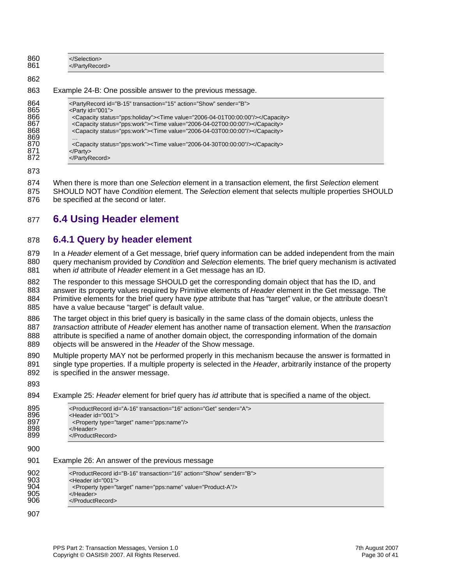<span id="page-29-0"></span>

| 860<br>861 | <br>                                                       |
|------------|------------------------------------------------------------|
| 862        |                                                            |
| 863        | Example 24-B: One possible answer to the previous message. |

| 864 | <partyrecord action="Show" id="B-15" sender="B" transaction="15"></partyrecord>     |
|-----|-------------------------------------------------------------------------------------|
| 865 | $\epsilon$ Party id="001">                                                          |
| 866 | <capacity status="pps:holiday"><time value="2006-04-01T00:00:00"></time></capacity> |
| 867 | <capacity status="pps:work"><time value="2006-04-02T00:00:00"></time></capacity>    |
| 868 | <capacity status="pps:work"><time value="2006-04-03T00:00:00"></time></capacity>    |
| 869 | $\cdots$                                                                            |
| 870 | <capacity status="pps:work"><time value="2006-04-30T00:00:00"></time></capacity>    |
| 871 | $<$ /Party>                                                                         |
| 872 | $<$ /PartyRecord>                                                                   |
|     |                                                                                     |

873

874 When there is more than one *Selection* element in a transaction element, the first *Selection* element 875 SHOULD NOT have *Condition* element. The *Selection* element that selects multiple properties SHOULD 876 be specified at the second or later.

#### **6.4 Using Header element**  877

#### 878 **6.4.1 Query by header element**

879 In a Header element of a Get message, brief query information can be added independent from the main 880 881 query mechanism provided by *Condition* and *Selection* elements. The brief query mechanism is activated when *id* attribute of *Header* element in a Get message has an ID.

882 The responder to this message SHOULD get the corresponding domain object that has the ID, and 883 answer its property values required by Primitive elements of Header element in the Get message. The 884 885 Primitive elements for the brief query have *type* attribute that has "target" value, or the attribute doesn't have a value because "target" is default value.

886 The target object in this brief query is basically in the same class of the domain objects, unless the 887 transaction attribute of *Header* element has another name of transaction element. When the *transaction* 888 889 attribute is specified a name of another domain object, the corresponding information of the domain objects will be answered in the *Header* of the Show message.

- 890 Multiple property MAY not be performed properly in this mechanism because the answer is formatted in 891 892 single type properties. If a multiple property is selected in the *Header*, arbitrarily instance of the property is specified in the answer message.
- 893 894 Example 25: *Header* element for brief query has *id* attribute that is specified a name of the object. 895 <ProductRecord id="A-16" transaction="16" action="Get" sender="A"><br>896 <Header id="001"> 896 <Header id="001"><br>897 <Property type="ta 897 <Property type="target" name="pps:name"/><br>898 </Header> 898 </Header><br>899 </ProductF </ProductRecord> 900

#### 901 Example 26: An answer of the previous message

| <productrecord action="Show" id="B-16" sender="B" transaction="16"><br/><header id="001"></header></productrecord> |
|--------------------------------------------------------------------------------------------------------------------|
| <property name="pps:name" type="target" value="Product-A"></property>                                              |
| $<$ /Header $>$                                                                                                    |
|                                                                                                                    |
|                                                                                                                    |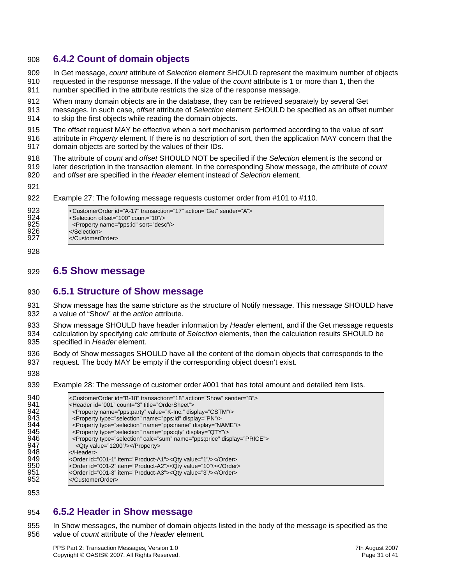#### <span id="page-30-0"></span>908 **6.4.2 Count of domain objects**

- 909 In Get message, *count* attribute of *Selection* element SHOULD represent the maximum number of objects
- 910 requested in the response message. If the value of the *count* attribute is 1 or more than 1, then the
- 911 number specified in the attribute restricts the size of the response message.
- 912 When many domain objects are in the database, they can be retrieved separately by several Get
- 913 914 messages. In such case, *offset* attribute of *Selection* element SHOULD be specified as an offset number to skip the first objects while reading the domain objects.
- 915 916 The offset request MAY be effective when a sort mechanism performed according to the value of *sort* attribute in *Property* element. If there is no description of sort, then the application MAY concern that the
- 917 domain objects are sorted by the values of their IDs.
- 918 The attribute of *count* and *offset* SHOULD NOT be specified if the *Selection* element is the second or
- 919 920 later description in the transaction element. In the corresponding Show message, the attribute of *count* and *offset* are specified in the *Header* element instead of *Selection* element.
- 921

#### 922 Example 27: The following message requests customer order from #101 to #110.

| 923 | <customerorder action="Get" id="A-17" sender="A" transaction="17"></customerorder> |
|-----|------------------------------------------------------------------------------------|
| 924 | <selection count="10" offset="100"></selection>                                    |
| 925 | <property name="pps:id" sort="desc"></property>                                    |
| 926 | $<$ /Selection $>$                                                                 |
| 927 |                                                                                    |
|     |                                                                                    |

928

### 929 **6.5 Show message**

#### 930 **6.5.1 Structure of Show message**

931 932 Show message has the same stricture as the structure of Notify message. This message SHOULD have a value of "Show" at the *action* attribute.

933 934 935 Show message SHOULD have header information by *Header* element, and if the Get message requests calculation by specifying *calc* attribute of *Selection* elements, then the calculation results SHOULD be specified in *Header* element.

- 936 937 Body of Show messages SHOULD have all the content of the domain objects that corresponds to the request. The body MAY be empty if the corresponding object doesn't exist.
- 938
- 939 Example 28: The message of customer order #001 that has total amount and detailed item lists.

| <customerorder action="Show" id="B-18" sender="B" transaction="18"><br/><header count="3" id="001" title="OrderSheet"></header></customerorder> |
|-------------------------------------------------------------------------------------------------------------------------------------------------|
| <property display="CSTM" name="pps:party" value="K-lnc."></property>                                                                            |
| <property display="PN" name="pps:id" type="selection"></property>                                                                               |
| <property display="NAME" name="pps:name" type="selection"></property>                                                                           |
| <property display="QTY" name="pps:gty" type="selection"></property>                                                                             |
| <property calc="sum" display="PRICE" name="pps:price" type="selection"></property>                                                              |
| <qty value="1200"></qty>                                                                                                                        |
|                                                                                                                                                 |
| <order id="001-1" item="Product-A1"><qty value="1"></qty></order>                                                                               |
| <order id="001-2" item="Product-A2"><qty value="10"></qty></order>                                                                              |
| <order id="001-3" item="Product-A3"><qty value="3"></qty></order>                                                                               |
|                                                                                                                                                 |
|                                                                                                                                                 |

953

#### 954 **6.5.2 Header in Show message**

955 956 In Show messages, the number of domain objects listed in the body of the message is specified as the value of *count* attribute of the *Header* element.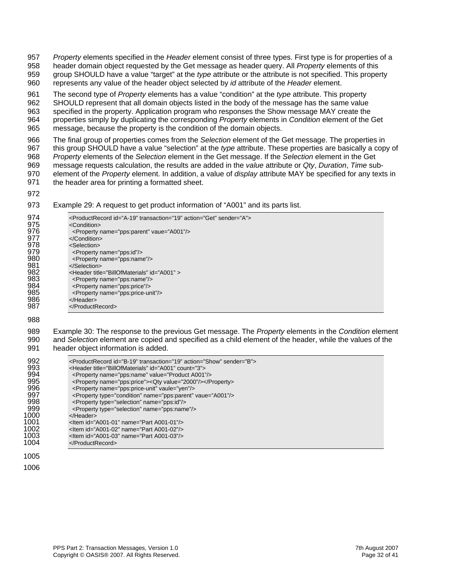957 *Property* elements specified in the *Header* element consist of three types. First type is for properties of a

958 959 header domain object requested by the Get message as header query. All *Property* elements of this group SHOULD have a value "target" at the *type* attribute or the attribute is not specified. This property

960 represents any value of the header object selected by *id* attribute of the *Header* element.

961 962 963 964 965 The second type of *Property* elements has a value "condition" at the *type* attribute. This property SHOULD represent that all domain objects listed in the body of the message has the same value specified in the property. Application program who responses the Show message MAY create the properties simply by duplicating the corresponding *Property* elements in *Condition* element of the Get message, because the property is the condition of the domain objects.

966 967 968 969 970 971 The final group of properties comes from the *Selection* element of the Get message. The properties in this group SHOULD have a value "selection" at the *type* attribute. These properties are basically a copy of *Property* elements of the *Selection* element in the Get message. If the *Selection* element in the Get message requests calculation, the results are added in the *value* attribute or *Qty*, *Duration*, *Time* subelement of the *Property* element. In addition, a value of *display* attribute MAY be specified for any texts in the header area for printing a formatted sheet.

972

973 Example 29: A request to get product information of "A001" and its parts list.

| 974 | <productrecord action="Get" id="A-19" sender="A" transaction="19"></productrecord> |
|-----|------------------------------------------------------------------------------------|
| 975 | <condition></condition>                                                            |
| 976 | <property name="pps:parent" vaue="A001"></property>                                |
| 977 | $\langle$ Condition>                                                               |
| 978 | <selection></selection>                                                            |
| 979 | <property name="pps:id"></property>                                                |
| 980 | <property name="pps:name"></property>                                              |
| 981 |                                                                                    |
| 982 | <header id="A001" title="BillOfMaterials"></header>                                |
| 983 | <property name="pps:name"></property>                                              |
| 984 | <property name="pps:price"></property>                                             |
| 985 | <property name="pps:price-unit"></property>                                        |
| 986 |                                                                                    |
| 987 | $\langle$ ProductRecord>                                                           |
|     |                                                                                    |

988

989 990 991 Example 30: The response to the previous Get message. The *Property* elements in the *Condition* element and *Selection* element are copied and specified as a child element of the header, while the values of the header object information is added.

| 992<br>993<br>994 | <productrecord action="Show" id="B-19" sender="B" transaction="19"><br/><header count="3" id="A001" title="BillOfMaterials"></header></productrecord> |
|-------------------|-------------------------------------------------------------------------------------------------------------------------------------------------------|
|                   | <property name="pps:name" value="Product A001"></property>                                                                                            |
| 995               | <property name="pps:price"><qty value="2000"></qty></property>                                                                                        |
| 996               | <property name="pps:price-unit" vaule="yen"></property>                                                                                               |
| 997               | <property name="pps:parent" type="condition" vaue="A001"></property>                                                                                  |
| 998               | <property name="pps:id" type="selection"></property>                                                                                                  |
| 999               | <property name="pps:name" type="selection"></property>                                                                                                |
| 1000              |                                                                                                                                                       |
| 1001              | $\le$ ltem id="A001-01" name="Part A001-01"/>                                                                                                         |
| 1002              | <ltem id="A001-02" name="Part A001-02"></ltem>                                                                                                        |
| 1003              | <ltem id="A001-03" name="Part A001-03"></ltem>                                                                                                        |
| 1004              | $<$ /ProductRecord>                                                                                                                                   |
| 1005              |                                                                                                                                                       |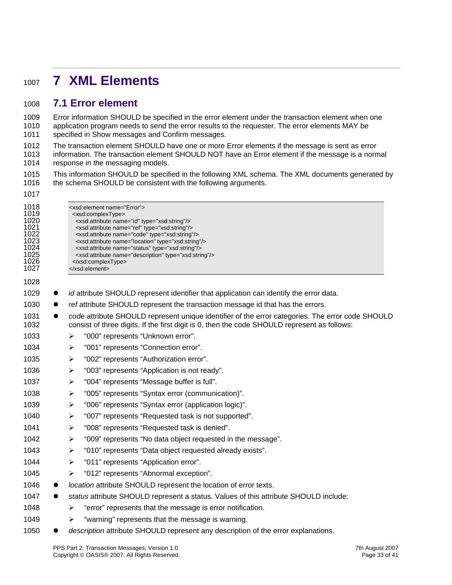## <span id="page-32-0"></span><sup>1007</sup>**7 XML Elements**

### 1008 **7.1 Error element**

1017

Error information SHOULD be specified in the error element under the transaction element when one application program needs to send the error results to the requester. The error elements MAY be specified in Show messages and Confirm messages. 1009 1010 1011

1012 The transaction element SHOULD have one or more Error elements if the message is sent as error

1013 1014 information. The transaction element SHOULD NOT have an Error element if the message is a normal response in the messaging models.

1015 1016 This information SHOULD be specified in the following XML schema. The XML documents generated by the schema SHOULD be consistent with the following arguments.

| 1018<br>1019<br>1020<br>1021<br>1022<br>1023<br>1024<br>1025<br>1026<br>1027 | <xsd:element name="Error"><br/><xsd:complextype><br/><xsd:attribute name="id" type="xsd:string"></xsd:attribute><br/><xsd:attribute name="ref" type="xsd:string"></xsd:attribute><br/><xsd:attribute name="code" type="xsd:string"></xsd:attribute><br/><xsd:attribute name="location" type="xsd:string"></xsd:attribute><br/><xsd:attribute name="status" type="xsd:string"></xsd:attribute><br/><xsd:attribute name="description" type="xsd:string"></xsd:attribute><br/></xsd:complextype><br/></xsd:element> |  |
|------------------------------------------------------------------------------|------------------------------------------------------------------------------------------------------------------------------------------------------------------------------------------------------------------------------------------------------------------------------------------------------------------------------------------------------------------------------------------------------------------------------------------------------------------------------------------------------------------|--|
| 1028                                                                         |                                                                                                                                                                                                                                                                                                                                                                                                                                                                                                                  |  |
| 1029<br>$\bullet$                                                            | id attribute SHOULD represent identifier that application can identify the error data.                                                                                                                                                                                                                                                                                                                                                                                                                           |  |
| 1030<br>$\bullet$                                                            | ref attribute SHOULD represent the transaction message id that has the errors.                                                                                                                                                                                                                                                                                                                                                                                                                                   |  |
| 1031<br>1032                                                                 | code attribute SHOULD represent unique identifier of the error categories. The error code SHOULD<br>consist of three digits. If the first digit is 0, then the code SHOULD represent as follows:                                                                                                                                                                                                                                                                                                                 |  |
| 1033                                                                         | "000" represents "Unknown error".<br>➤                                                                                                                                                                                                                                                                                                                                                                                                                                                                           |  |
| 1034                                                                         | "001" represents "Connection error".<br>➤                                                                                                                                                                                                                                                                                                                                                                                                                                                                        |  |
| 1035                                                                         | "002" represents "Authorization error".<br>$\blacktriangleright$                                                                                                                                                                                                                                                                                                                                                                                                                                                 |  |
| 1036                                                                         | "003" represents "Application is not ready".<br>➤                                                                                                                                                                                                                                                                                                                                                                                                                                                                |  |
| 1037                                                                         | $\blacktriangleright$<br>"004" represents "Message buffer is full".                                                                                                                                                                                                                                                                                                                                                                                                                                              |  |
| 1038                                                                         | "005" represents "Syntax error (communication)".<br>$\blacktriangleright$                                                                                                                                                                                                                                                                                                                                                                                                                                        |  |
| 1039                                                                         | $\blacktriangleright$<br>"006" represents "Syntax error (application logic)".                                                                                                                                                                                                                                                                                                                                                                                                                                    |  |
| 1040                                                                         | $\blacktriangleright$<br>"007" represents "Requested task is not supported".                                                                                                                                                                                                                                                                                                                                                                                                                                     |  |
| 1041                                                                         | "008" represents "Requested task is denied".<br>$\blacktriangleright$                                                                                                                                                                                                                                                                                                                                                                                                                                            |  |
| 1042                                                                         | ➤<br>"009" represents "No data object requested in the message".                                                                                                                                                                                                                                                                                                                                                                                                                                                 |  |
| 1043                                                                         | $\blacktriangleright$<br>"010" represents "Data object requested already exists".                                                                                                                                                                                                                                                                                                                                                                                                                                |  |
| 1044                                                                         | "011" represents "Application error".<br>➤                                                                                                                                                                                                                                                                                                                                                                                                                                                                       |  |
| 1045                                                                         | "012" represents "Abnormal exception".<br>➤                                                                                                                                                                                                                                                                                                                                                                                                                                                                      |  |
| 1046<br>$\bullet$                                                            | location attribute SHOULD represent the location of error texts.                                                                                                                                                                                                                                                                                                                                                                                                                                                 |  |
| 1047                                                                         | status attribute SHOULD represent a status. Values of this attribute SHOULD include:                                                                                                                                                                                                                                                                                                                                                                                                                             |  |
| 1048                                                                         | "error" represents that the message is error notification.<br>➤                                                                                                                                                                                                                                                                                                                                                                                                                                                  |  |
| 1049                                                                         | "warning" represents that the message is warning.<br>⋗                                                                                                                                                                                                                                                                                                                                                                                                                                                           |  |
| 1050                                                                         | description attribute SHOULD represent any description of the error explanations.                                                                                                                                                                                                                                                                                                                                                                                                                                |  |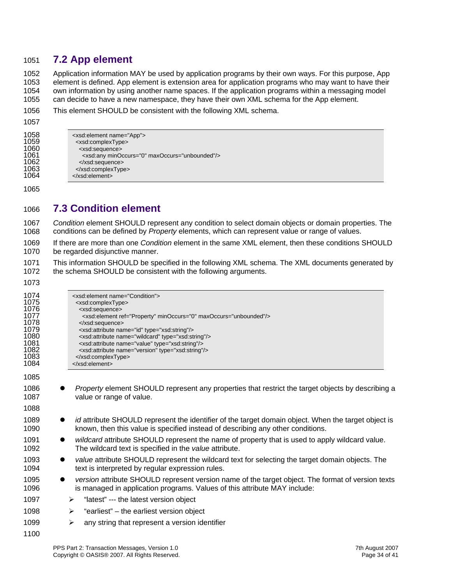#### <span id="page-33-0"></span>1051 **7.2 App element**

1052 1053 1054 1055 Application information MAY be used by application programs by their own ways. For this purpose, App element is defined. App element is extension area for application programs who may want to have their own information by using another name spaces. If the application programs within a messaging model can decide to have a new namespace, they have their own XML schema for the App element.

| 1056 | This element SHOULD be consistent with the following XML schema. |
|------|------------------------------------------------------------------|
|      |                                                                  |

1057

| .    |                                                         |
|------|---------------------------------------------------------|
| 1058 | <xsd:element name="App"></xsd:element>                  |
| 1059 | <xsd:complextype></xsd:complextype>                     |
| 1060 | <xsd:sequence></xsd:sequence>                           |
| 1061 | <xsd:any maxoccurs="unbounded" minoccurs="0"></xsd:any> |
| 1062 | $\langle x\$ sd:sequence>                               |
| 1063 |                                                         |
| 1064 | $\langle x\$ xsd: element $\langle x\rangle$            |

1065

### 1066 **7.3 Condition element**

1067 1068 *Condition* element SHOULD represent any condition to select domain objects or domain properties. The conditions can be defined by *Property* elements, which can represent value or range of values.

1069 1070 If there are more than one *Condition* element in the same XML element, then these conditions SHOULD be regarded disjunctive manner.

1071 1072 This information SHOULD be specified in the following XML schema. The XML documents generated by the schema SHOULD be consistent with the following arguments.

| 1074<br>1075<br>1076<br>1077<br>1078<br>1079<br>1080<br>1081<br>1082<br>1083<br>1084 | <xsd:element name="Condition"><br/><xsd:complextype><br/><xsd:sequence><br/><xsd:element maxoccurs="unbounded" minoccurs="0" ref="Property"></xsd:element><br/></xsd:sequence><br/><xsd:attribute name="id" type="xsd:string"></xsd:attribute><br/><xsd:attribute name="wildcard" type="xsd:string"></xsd:attribute><br/><xsd:attribute name="value" type="xsd:string"></xsd:attribute><br/><xsd:attribute name="version" type="xsd:string"></xsd:attribute><br/></xsd:complextype><br/></xsd:element> |
|--------------------------------------------------------------------------------------|--------------------------------------------------------------------------------------------------------------------------------------------------------------------------------------------------------------------------------------------------------------------------------------------------------------------------------------------------------------------------------------------------------------------------------------------------------------------------------------------------------|
| 1085                                                                                 |                                                                                                                                                                                                                                                                                                                                                                                                                                                                                                        |
| 1086<br>1087                                                                         | <i>Property</i> element SHOULD represent any properties that restrict the target objects by describing a<br>value or range of value.                                                                                                                                                                                                                                                                                                                                                                   |
| 1088                                                                                 |                                                                                                                                                                                                                                                                                                                                                                                                                                                                                                        |
| 1089<br>1090                                                                         | id attribute SHOULD represent the identifier of the target domain object. When the target object is<br>$\bullet$<br>known, then this value is specified instead of describing any other conditions.                                                                                                                                                                                                                                                                                                    |
| 1091<br>1092                                                                         | wildcard attribute SHOULD represent the name of property that is used to apply wildcard value.<br>$\bullet$<br>The wildcard text is specified in the value attribute.                                                                                                                                                                                                                                                                                                                                  |
| 1093<br>1094                                                                         | value attribute SHOULD represent the wildcard text for selecting the target domain objects. The<br>$\bullet$<br>text is interpreted by regular expression rules.                                                                                                                                                                                                                                                                                                                                       |
| 1095<br>1096                                                                         | version attribute SHOULD represent version name of the target object. The format of version texts<br>$\bullet$<br>is managed in application programs. Values of this attribute MAY include:                                                                                                                                                                                                                                                                                                            |
| 1097                                                                                 | "latest" --- the latest version object<br>➤                                                                                                                                                                                                                                                                                                                                                                                                                                                            |
| 1098                                                                                 | "earliest" – the earliest version object<br>➤                                                                                                                                                                                                                                                                                                                                                                                                                                                          |
| 1099                                                                                 | any string that represent a version identifier<br>➤                                                                                                                                                                                                                                                                                                                                                                                                                                                    |
| 1100                                                                                 |                                                                                                                                                                                                                                                                                                                                                                                                                                                                                                        |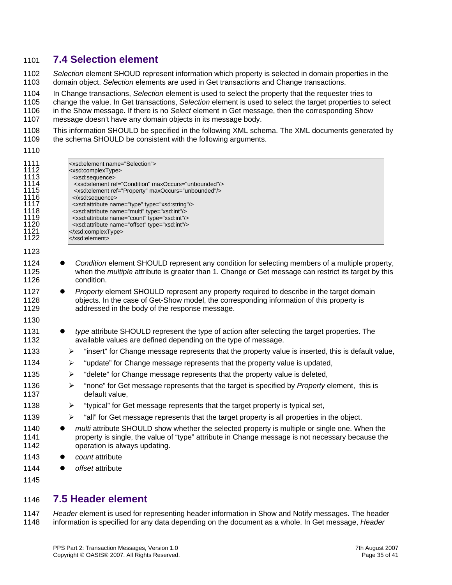#### <span id="page-34-0"></span>1101 **7.4 Selection element**

1102 1103 *Selection* element SHOUD represent information which property is selected in domain properties in the domain object. *Selection* elements are used in Get transactions and Change transactions.

1104 In Change transactions, *Selection* element is used to select the property that the requester tries to

1105 change the value. In Get transactions, *Selection* element is used to select the target properties to select

- 1106 1107 in the Show message. If there is no *Select* element in Get message, then the corresponding Show message doesn't have any domain objects in its message body.
- 1108 This information SHOULD be specified in the following XML schema. The XML documents generated by
- 1109 the schema SHOULD be consistent with the following arguments.

|  | ۰.<br>× |  |
|--|---------|--|
|  |         |  |

| 1111<br>1112<br>1113<br>1114<br>1115<br>1116<br>1117<br>1118<br>1119<br>1120<br>1121<br>1122 | <xsd:element name="Selection"><br/><xsd:complextype><br/><xsd:sequence><br/><xsd:element maxoccurs="unbounded" ref="Condition"></xsd:element><br/><xsd:element maxoccurs="unbounded" ref="Property"></xsd:element><br/></xsd:sequence><br/><xsd:attribute name="type" type="xsd:string"></xsd:attribute><br/><xsd:attribute name="multi" type="xsd:int"></xsd:attribute><br/><xsd:attribute name="count" type="xsd:int"></xsd:attribute><br/><xsd:attribute name="offset" type="xsd:int"></xsd:attribute><br/></xsd:complextype><br/></xsd:element> |
|----------------------------------------------------------------------------------------------|-----------------------------------------------------------------------------------------------------------------------------------------------------------------------------------------------------------------------------------------------------------------------------------------------------------------------------------------------------------------------------------------------------------------------------------------------------------------------------------------------------------------------------------------------------|
| 1123                                                                                         |                                                                                                                                                                                                                                                                                                                                                                                                                                                                                                                                                     |
| 1124<br>1125<br>1126                                                                         | Condition element SHOULD represent any condition for selecting members of a multiple property,<br>when the multiple attribute is greater than 1. Change or Get message can restrict its target by this<br>condition.                                                                                                                                                                                                                                                                                                                                |
| 1127<br>1128<br>1129                                                                         | Property element SHOULD represent any property required to describe in the target domain<br>objects. In the case of Get-Show model, the corresponding information of this property is<br>addressed in the body of the response message.                                                                                                                                                                                                                                                                                                             |
| 1130                                                                                         |                                                                                                                                                                                                                                                                                                                                                                                                                                                                                                                                                     |
| 1131<br>1132                                                                                 | type attribute SHOULD represent the type of action after selecting the target properties. The<br>available values are defined depending on the type of message.                                                                                                                                                                                                                                                                                                                                                                                     |
| 1133                                                                                         | "insert" for Change message represents that the property value is inserted, this is default value,<br>➤                                                                                                                                                                                                                                                                                                                                                                                                                                             |
| 1134                                                                                         | "update" for Change message represents that the property value is updated,<br>➤                                                                                                                                                                                                                                                                                                                                                                                                                                                                     |
| 1135                                                                                         | "delete" for Change message represents that the property value is deleted,<br>$\blacktriangleright$                                                                                                                                                                                                                                                                                                                                                                                                                                                 |
| 1136<br>1137                                                                                 | "none" for Get message represents that the target is specified by Property element, this is<br>$\blacktriangleright$<br>default value,                                                                                                                                                                                                                                                                                                                                                                                                              |
| 1138                                                                                         | "typical" for Get message represents that the target property is typical set,<br>➤                                                                                                                                                                                                                                                                                                                                                                                                                                                                  |
| 1139                                                                                         | "all" for Get message represents that the target property is all properties in the object.<br>➤                                                                                                                                                                                                                                                                                                                                                                                                                                                     |
| 1140<br>$\bullet$<br>1141<br>1142                                                            | multi attribute SHOULD show whether the selected property is multiple or single one. When the<br>property is single, the value of "type" attribute in Change message is not necessary because the<br>operation is always updating.                                                                                                                                                                                                                                                                                                                  |
| 1143                                                                                         | count attribute                                                                                                                                                                                                                                                                                                                                                                                                                                                                                                                                     |
| 1144                                                                                         | offset attribute                                                                                                                                                                                                                                                                                                                                                                                                                                                                                                                                    |
| 1145                                                                                         |                                                                                                                                                                                                                                                                                                                                                                                                                                                                                                                                                     |

### 1146 **7.5 Header element**

1147 1148 *Header* element is used for representing header information in Show and Notify messages. The header information is specified for any data depending on the document as a whole. In Get message, *Header*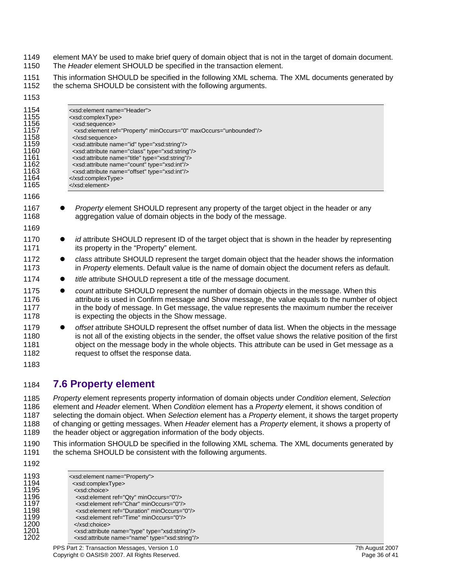- <span id="page-35-0"></span>1149 element MAY be used to make brief query of domain object that is not in the target of domain document.
- 1150 The *Header* element SHOULD be specified in the transaction element.
- 1151 1152 This information SHOULD be specified in the following XML schema. The XML documents generated by the schema SHOULD be consistent with the following arguments.
- 1153

| 1 I JJ                                                                                       |           |                                                                                                                                                                                                                                                                                                                                                                                                                                                                                                                                                              |
|----------------------------------------------------------------------------------------------|-----------|--------------------------------------------------------------------------------------------------------------------------------------------------------------------------------------------------------------------------------------------------------------------------------------------------------------------------------------------------------------------------------------------------------------------------------------------------------------------------------------------------------------------------------------------------------------|
| 1154<br>1155<br>1156<br>1157<br>1158<br>1159<br>1160<br>1161<br>1162<br>1163<br>1164<br>1165 |           | <xsd:element name="Header"><br/><xsd:complextype><br/><xsd:sequence><br/><xsd:element maxoccurs="unbounded" minoccurs="0" ref="Property"></xsd:element><br/></xsd:sequence><br/><xsd:attribute name="id" type="xsd:string"></xsd:attribute><br/><xsd:attribute name="class" type="xsd:string"></xsd:attribute><br/><xsd:attribute name="title" type="xsd:string"></xsd:attribute><br/><xsd:attribute name="count" type="xsd:int"></xsd:attribute><br/><xsd:attribute name="offset" type="xsd:int"></xsd:attribute><br/></xsd:complextype><br/></xsd:element> |
| 1166                                                                                         |           |                                                                                                                                                                                                                                                                                                                                                                                                                                                                                                                                                              |
| 1167<br>1168                                                                                 |           | Property element SHOULD represent any property of the target object in the header or any<br>aggregation value of domain objects in the body of the message.                                                                                                                                                                                                                                                                                                                                                                                                  |
| 1169                                                                                         |           |                                                                                                                                                                                                                                                                                                                                                                                                                                                                                                                                                              |
| 1170<br>1171                                                                                 | $\bullet$ | id attribute SHOULD represent ID of the target object that is shown in the header by representing<br>its property in the "Property" element.                                                                                                                                                                                                                                                                                                                                                                                                                 |
| 1172<br>1173                                                                                 | $\bullet$ | class attribute SHOULD represent the target domain object that the header shows the information<br>in Property elements. Default value is the name of domain object the document refers as default.                                                                                                                                                                                                                                                                                                                                                          |
| 1174                                                                                         | $\bullet$ | title attribute SHOULD represent a title of the message document.                                                                                                                                                                                                                                                                                                                                                                                                                                                                                            |
| 1175<br>1176<br>1177<br>1178                                                                 | $\bullet$ | count attribute SHOULD represent the number of domain objects in the message. When this<br>attribute is used in Confirm message and Show message, the value equals to the number of object<br>in the body of message. In Get message, the value represents the maximum number the receiver<br>is expecting the objects in the Show message.                                                                                                                                                                                                                  |

- 1179 1180 1181 1182 z *offset* attribute SHOULD represent the offset number of data list. When the objects in the message is not all of the existing objects in the sender, the offset value shows the relative position of the first object on the message body in the whole objects. This attribute can be used in Get message as a request to offset the response data.
- 1183

### 1184 **7.6 Property element**

1185 1186 1187 1188 1189 *Property* element represents property information of domain objects under *Condition* element, *Selection* element and *Header* element. When *Condition* element has a *Property* element, it shows condition of selecting the domain object. When *Selection* element has a *Property* element, it shows the target property of changing or getting messages. When *Header* element has a *Property* element, it shows a property of the header object or aggregation information of the body objects.

- 1190 1191 This information SHOULD be specified in the following XML schema. The XML documents generated by the schema SHOULD be consistent with the following arguments.
- 1192

| 1193 | <xsd:element name="Property"></xsd:element>                   |
|------|---------------------------------------------------------------|
| 1194 | <xsd:complextype></xsd:complextype>                           |
| 1195 | <xsd:choice></xsd:choice>                                     |
| 1196 | <xsd:element minoccurs="0" ref="Qty"></xsd:element>           |
| 1197 | <xsd:element minoccurs="0" ref="Char"></xsd:element>          |
| 1198 | <xsd:element minoccurs="0" ref="Duration"></xsd:element>      |
| 1199 | <xsd:element minoccurs="0" ref="Time"></xsd:element>          |
| 1200 | $\langle x\$ sd:choice>                                       |
| 1201 | <xsd:attribute name="type" type="xsd:string"></xsd:attribute> |
| 1202 | <xsd:attribute name="name" type="xsd:string"></xsd:attribute> |
|      |                                                               |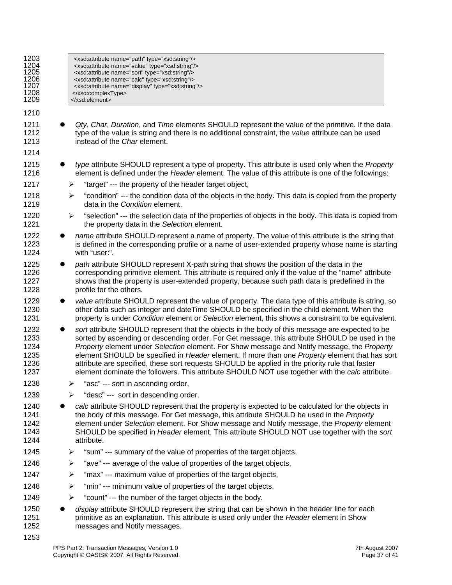| 1203<br>1204<br>1205<br>1206<br>1207<br>1208<br>1209 |                       | <xsd:attribute name="path" type="xsd:string"></xsd:attribute><br><xsd:attribute name="value" type="xsd:string"></xsd:attribute><br><xsd:attribute name="sort" type="xsd:string"></xsd:attribute><br><xsd:attribute name="calc" type="xsd:string"></xsd:attribute><br><xsd:attribute name="display" type="xsd:string"></xsd:attribute><br><br>                                                                                                                                                                                                                                                            |
|------------------------------------------------------|-----------------------|----------------------------------------------------------------------------------------------------------------------------------------------------------------------------------------------------------------------------------------------------------------------------------------------------------------------------------------------------------------------------------------------------------------------------------------------------------------------------------------------------------------------------------------------------------------------------------------------------------|
| 1210                                                 |                       |                                                                                                                                                                                                                                                                                                                                                                                                                                                                                                                                                                                                          |
| 1211<br>1212<br>1213                                 |                       | Qty, Char, Duration, and Time elements SHOULD represent the value of the primitive. If the data<br>type of the value is string and there is no additional constraint, the value attribute can be used<br>instead of the Char element.                                                                                                                                                                                                                                                                                                                                                                    |
| 1214<br>1215<br>1216                                 | $\bullet$             | type attribute SHOULD represent a type of property. This attribute is used only when the Property<br>element is defined under the Header element. The value of this attribute is one of the followings:                                                                                                                                                                                                                                                                                                                                                                                                  |
| 1217                                                 | ➤                     | "target" --- the property of the header target object,                                                                                                                                                                                                                                                                                                                                                                                                                                                                                                                                                   |
| 1218<br>1219                                         | ➤                     | "condition" --- the condition data of the objects in the body. This data is copied from the property<br>data in the Condition element.                                                                                                                                                                                                                                                                                                                                                                                                                                                                   |
| 1220<br>1221                                         | $\blacktriangleright$ | "selection" --- the selection data of the properties of objects in the body. This data is copied from<br>the property data in the Selection element.                                                                                                                                                                                                                                                                                                                                                                                                                                                     |
| 1222<br>1223<br>1224                                 |                       | name attribute SHOULD represent a name of property. The value of this attribute is the string that<br>is defined in the corresponding profile or a name of user-extended property whose name is starting<br>with "user:".                                                                                                                                                                                                                                                                                                                                                                                |
| 1225<br>1226<br>1227<br>1228                         | $\bullet$             | path attribute SHOULD represent X-path string that shows the position of the data in the<br>corresponding primitive element. This attribute is required only if the value of the "name" attribute<br>shows that the property is user-extended property, because such path data is predefined in the<br>profile for the others.                                                                                                                                                                                                                                                                           |
| 1229<br>1230<br>1231                                 | $\bullet$             | value attribute SHOULD represent the value of property. The data type of this attribute is string, so<br>other data such as integer and dateTime SHOULD be specified in the child element. When the<br>property is under Condition element or Selection element, this shows a constraint to be equivalent.                                                                                                                                                                                                                                                                                               |
| 1232<br>1233<br>1234<br>1235<br>1236<br>1237         | $\bullet$             | sort attribute SHOULD represent that the objects in the body of this message are expected to be<br>sorted by ascending or descending order. For Get message, this attribute SHOULD be used in the<br>Property element under Selection element. For Show message and Notify message, the Property<br>element SHOULD be specified in Header element. If more than one Property element that has sort<br>attribute are specified, these sort requests SHOULD be applied in the priority rule that faster<br>element dominate the followers. This attribute SHOULD NOT use together with the calc attribute. |
| 1238                                                 | ⋗                     | "asc" --- sort in ascending order,                                                                                                                                                                                                                                                                                                                                                                                                                                                                                                                                                                       |
| 1239                                                 | ⋗                     | "desc" --- sort in descending order.                                                                                                                                                                                                                                                                                                                                                                                                                                                                                                                                                                     |
| 1240<br>1241<br>1242<br>1243<br>1244                 |                       | calc attribute SHOULD represent that the property is expected to be calculated for the objects in<br>the body of this message. For Get message, this attribute SHOULD be used in the Property<br>element under Selection element. For Show message and Notify message, the Property element<br>SHOULD be specified in Header element. This attribute SHOULD NOT use together with the sort<br>attribute.                                                                                                                                                                                                 |
| 1245                                                 | ➤                     | "sum" --- summary of the value of properties of the target objects,                                                                                                                                                                                                                                                                                                                                                                                                                                                                                                                                      |
| 1246                                                 | ➤                     | "ave" --- average of the value of properties of the target objects,                                                                                                                                                                                                                                                                                                                                                                                                                                                                                                                                      |
| 1247                                                 | ➤                     | "max" --- maximum value of properties of the target objects,                                                                                                                                                                                                                                                                                                                                                                                                                                                                                                                                             |
| 1248                                                 | ➤                     | "min" --- minimum value of properties of the target objects,                                                                                                                                                                                                                                                                                                                                                                                                                                                                                                                                             |
| 1249                                                 | ➤                     | "count" --- the number of the target objects in the body.                                                                                                                                                                                                                                                                                                                                                                                                                                                                                                                                                |
| 1250<br>1251<br>1252                                 |                       | display attribute SHOULD represent the string that can be shown in the header line for each<br>primitive as an explanation. This attribute is used only under the Header element in Show<br>messages and Notify messages.                                                                                                                                                                                                                                                                                                                                                                                |
| 1253                                                 |                       |                                                                                                                                                                                                                                                                                                                                                                                                                                                                                                                                                                                                          |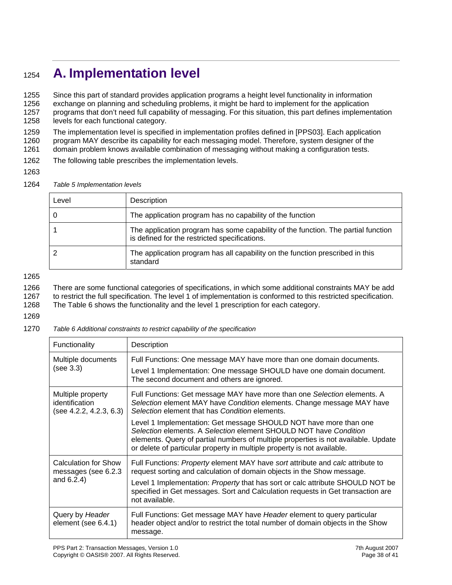## <sup>1254</sup>**A. Implementation level**

1255 Since this part of standard provides application programs a height level functionality in information 1256 exchange on planning and scheduling problems, it might be hard to implement for the application 1257 programs that don't need full capability of messaging. For this situation, this part defines implementation 1258 levels for each functional category.

1259 The implementation level is specified in implementation profiles defined in [PPS03]. Each application 1260 program MAY describe its capability for each messaging model. Therefore, system designer of the 1261 domain problem knows available combination of messaging without making a configuration tests.

- 1262 The following table prescribes the implementation levels.
- 1263

1264 *Table 5 Implementation levels* 

| Level | Description                                                                                                                        |
|-------|------------------------------------------------------------------------------------------------------------------------------------|
| 0     | The application program has no capability of the function                                                                          |
|       | The application program has some capability of the function. The partial function<br>is defined for the restricted specifications. |
|       | The application program has all capability on the function prescribed in this<br>standard                                          |

1265

1266 There are some functional categories of specifications, in which some additional constraints MAY be add 1267 to restrict the full specification. The level 1 of implementation is conformed to this restricted specification.

1268 The Table 6 shows the functionality and the level 1 prescription for each category.

1269

1270 *Table 6 Additional constraints to restrict capability of the specification* 

| Functionality                                                  | Description                                                                                                                                                                                                                                                                                                                                            |  |  |  |
|----------------------------------------------------------------|--------------------------------------------------------------------------------------------------------------------------------------------------------------------------------------------------------------------------------------------------------------------------------------------------------------------------------------------------------|--|--|--|
| Multiple documents<br>(see 3.3)                                | Full Functions: One message MAY have more than one domain documents.<br>Level 1 Implementation: One message SHOULD have one domain document.<br>The second document and others are ignored.                                                                                                                                                            |  |  |  |
| Multiple property<br>identification<br>(see 4.2.2, 4.2.3, 6.3) | Full Functions: Get message MAY have more than one Selection elements. A<br>Selection element MAY have Condition elements. Change message MAY have<br>Selection element that has Condition elements.                                                                                                                                                   |  |  |  |
|                                                                | Level 1 Implementation: Get message SHOULD NOT have more than one<br>Selection elements. A Selection element SHOULD NOT have Condition<br>elements. Query of partial numbers of multiple properties is not available. Update<br>or delete of particular property in multiple property is not available.                                                |  |  |  |
| Calculation for Show<br>messages (see 6.2.3<br>and 6.2.4)      | Full Functions: Property element MAY have sort attribute and calc attribute to<br>request sorting and calculation of domain objects in the Show message.<br>Level 1 Implementation: <i>Property</i> that has sort or calc attribute SHOULD NOT be<br>specified in Get messages. Sort and Calculation requests in Get transaction are<br>not available. |  |  |  |
| Query by Header<br>element (see 6.4.1)                         | Full Functions: Get message MAY have Header element to query particular<br>header object and/or to restrict the total number of domain objects in the Show<br>message.                                                                                                                                                                                 |  |  |  |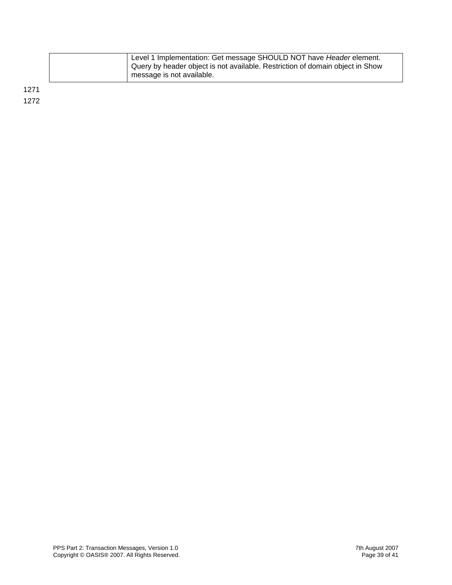<span id="page-38-0"></span>

| Level 1 Implementation: Get message SHOULD NOT have Header element.<br>Query by header object is not available. Restriction of domain object in Show<br>message is not available. |
|-----------------------------------------------------------------------------------------------------------------------------------------------------------------------------------|
|                                                                                                                                                                                   |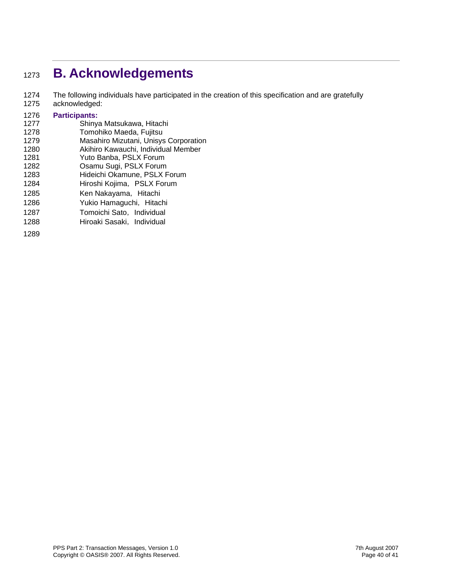## <sup>1273</sup>**B. Acknowledgements**

- 1274 The following individuals have participated in the creation of this specification and are gratefully
- 1275 acknowledged:

## 1276 **Participants:**

- 1277 Shinya Matsukawa, Hitachi<br>1278 Tomohiko Maeda, Fujitsu Tomohiko Maeda, Fujitsu
- 1279 Masahiro Mizutani, Unisys Corporation
- 1280 Akihiro Kawauchi, Individual Member
- 1281 Yuto Banba, PSLX Forum
- 1282 Osamu Sugi, PSLX Forum<br>1283 Hideichi Okamune, PSLX F
- Hideichi Okamune, PSLX Forum
- 1284 Hiroshi Kojima, PSLX Forum
- 1285 Ken Nakayama, Hitachi
- 1286 Yukio Hamaguchi, Hitachi
- 1287 Tomoichi Sato, Individual
- 1288 Hiroaki Sasaki, Individual